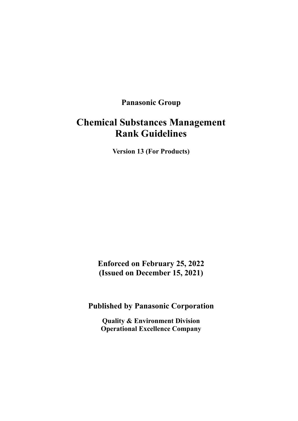# **Panasonic Group**

# **Chemical Substances Management Rank Guidelines**

**Version 13 (For Products)**

**Enforced on February 25, 2022 (Issued on December 15, 2021)**

**Published by Panasonic Corporation**

**Quality & Environment Division Operational Excellence Company**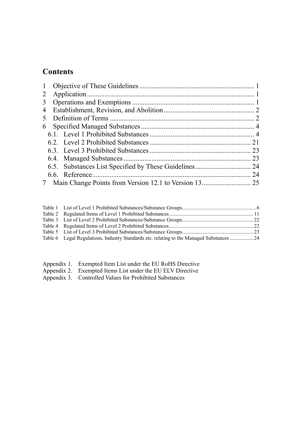# **Contents**

| 2              |  |  |    |  |
|----------------|--|--|----|--|
| $\mathfrak{Z}$ |  |  |    |  |
| $\overline{4}$ |  |  |    |  |
| 5              |  |  |    |  |
|                |  |  |    |  |
|                |  |  |    |  |
|                |  |  |    |  |
|                |  |  |    |  |
|                |  |  |    |  |
|                |  |  |    |  |
|                |  |  | 24 |  |
|                |  |  |    |  |

| Table 6 Legal Regulations, Industry Standards etc. relating to the Managed Substances 24 |  |
|------------------------------------------------------------------------------------------|--|
|                                                                                          |  |

- [Appendix 1. Exempted Item List under the EU RoHS Directive](#page-27-0)
- [Appendix 2. Exempted Items List](#page-36-0) under the EU ELV Directive
- [Appendix 3. Controlled Values for Prohibited Substances](#page-38-0)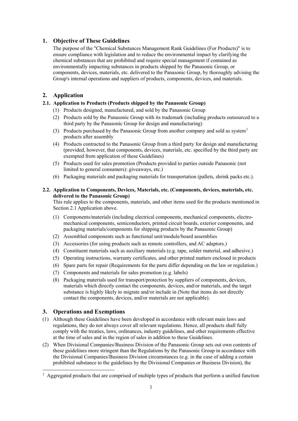## <span id="page-2-0"></span>**1. Objective of These Guidelines**

The purpose of the "Chemical Substances Management Rank Guidelines (For Products)" is to ensure compliance with legislation and to reduce the environmental impact by clarifying the chemical substances that are prohibited and require special management if contained as environmentally impacting substances in products shipped by the Panasonic Group, or components, devices, materials, etc. delivered to the Panasonic Group, by thoroughly advising the Group's internal operations and suppliers of products, components, devices, and materials.

# <span id="page-2-1"></span>**2. Application**

## <span id="page-2-3"></span>**2.1. Application to Products (Products shipped by the Panasonic Group)**

- (1) Products designed, manufactured, and sold by the Panasonic Group
- (2) Products sold by the Panasonic Group with its trademark (including products outsourced to a third party by the Panasonic Group for design and manufacturing)
- (3) Products purchased by the Panasonic Group from another company and sold as system<sup>[1](#page-2-4)</sup> products after assembly
- (4) Products contracted to the Panasonic Group from a third party for design and manufacturing (provided, however, that components, devices, materials, etc. specified by the third party are exempted from application of these Guidelines)
- (5) Products used for sales promotion (Products provided to parties outside Panasonic (not limited to general consumers): giveaways, etc.)
- (6) Packaging materials and packaging materials for transportation (pallets, shrink packs etc.).

## **2.2. Application to Components, Devices, Materials, etc. (Components, devices, materials, etc. delivered to the Panasonic Group)**

This rule applies to the components, materials, and other items used for the products mentioned in Section [2.1](#page-2-3) Application above.

- (1) Components/materials (including electrical components, mechanical components, electromechanical components, semiconductors, printed circuit boards, exterior components, and packaging materials/components for shipping products by the Panasonic Group)
- (2) Assembled components such as functional unit/module/board assemblies
- (3) Accessories (for using products such as remote controllers, and AC adaptors.)
- (4) Constituent materials such as auxiliary materials (e.g. tape, solder material, and adhesive.)
- (5) Operating instructions, warranty certificates, and other printed matters enclosed in products
- (6) Spare parts for repair (Requirements for the parts differ depending on the law or regulation.)
- (7) Components and materials for sales promotion (e.g. labels)
- (8) Packaging materials used for transport/protection by suppliers of components, devices, materials which directly contact the components, devices, and/or materials, and the target substance is highly likely to migrate and/or include in (Note that items do not directly contact the components, devices, and/or materials are not applicable).

## <span id="page-2-2"></span>**3. Operations and Exemptions**

- (1) Although these Guidelines have been developed in accordance with relevant main laws and regulations, they do not always cover all relevant regulations. Hence, all products shall fully comply with the treaties, laws, ordinances, industry guidelines, and other requirements effective at the time of sales and in the region of sales in addition to these Guidelines.
- (2) When Divisional Companies/Business Division of the Panasonic Group sets out own contents of these guidelines more stringent than the Regulations by the Panasonic Group in accordance with the Divisional Companies/Business Division circumstances (e.g. in the case of adding a certain prohibited substance to the guidelines by the Divisional Companies or Business Division), the

<span id="page-2-4"></span> $<sup>1</sup>$  Aggregated products that are comprised of multiple types of products that perform a unified function</sup>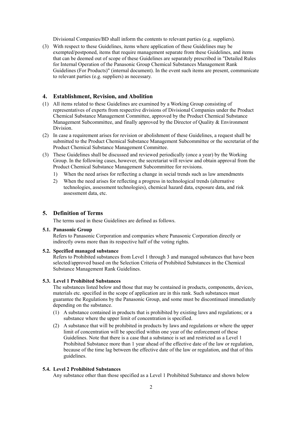Divisional Companies/BD shall inform the contents to relevant parties (e.g. suppliers).

(3) With respect to these Guidelines, items where application of these Guidelines may be exempted/postponed, items that require management separate from these Guidelines, and items that can be deemed out of scope of these Guidelines are separately prescribed in "Detailed Rules for Internal Operation of the Panasonic Group Chemical Substances Management Rank Guidelines (For Products)" (internal document). In the event such items are present, communicate to relevant parties (e.g. suppliers) as necessary.

## <span id="page-3-0"></span>**4. Establishment, Revision, and Abolition**

- (1) All items related to these Guidelines are examined by a Working Group consisting of representatives of experts from respective divisions of Divisional Companies under the Product Chemical Substance Management Committee, approved by the Product Chemical Substance Management Subcommittee, and finally approved by the Director of Quality & Environment Division.
- (2) In case a requirement arises for revision or abolishment of these Guidelines, a request shall be submitted to the Product Chemical Substance Management Subcommittee or the secretariat of the Product Chemical Substance Management Committee.
- (3) These Guidelines shall be discussed and reviewed periodically (once a year) by the Working Group. In the following cases, however, the secretariat will review and obtain approval from the Product Chemical Substance Management Subcommittee for revisions.
	- 1) When the need arises for reflecting a change in social trends such as law amendments
	- 2) When the need arises for reflecting a progress in technological trends (alternative technologies, assessment technologies), chemical hazard data, exposure data, and risk assessment data, etc.

## <span id="page-3-1"></span>**5. Definition of Terms**

The terms used in these Guidelines are defined as follows.

#### **5.1. Panasonic Group**

Refers to Panasonic Corporation and companies where Panasonic Corporation directly or indirectly owns more than its respective half of the voting rights.

#### **5.2. Specified managed substance**

Refers to Prohibited substances from Level 1 through 3 and managed substances that have been selected/approved based on the Selection Criteria of Prohibited Substances in the Chemical Substance Management Rank Guidelines.

#### **5.3. Level 1 Prohibited Substances**

The substances listed below and those that may be contained in products, components, devices, materials etc. specified in the scope of application are in this rank. Such substances must guarantee the Regulations by the Panasonic Group, and some must be discontinued immediately depending on the substance.

- (1) A substance contained in products that is prohibited by existing laws and regulations; or a substance where the upper limit of concentration is specified.
- (2) A substance that will be prohibited in products by laws and regulations or where the upper limit of concentration will be specified within one year of the enforcement of these Guidelines. Note that there is a case that a substance is set and restricted as a Level 1 Prohibited Substance more than 1 year ahead of the effective date of the law or regulation, because of the time lag between the effective date of the law or regulation, and that of this guidelines.

## **5.4. Level 2 Prohibited Substances**

Any substance other than those specified as a Level 1 Prohibited Substance and shown below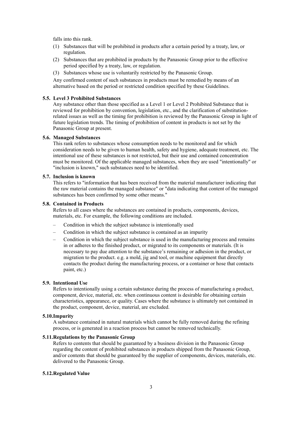falls into this rank.

- (1) Substances that will be prohibited in products after a certain period by a treaty, law, or regulation.
- (2) Substances that are prohibited in products by the Panasonic Group prior to the effective period specified by a treaty, law, or regulation.
- (3) Substances whose use is voluntarily restricted by the Panasonic Group.

Any confirmed content of such substances in products must be remedied by means of an alternative based on the period or restricted condition specified by these Guidelines.

#### **5.5. Level 3 Prohibited Substances**

Any substance other than those specified as a Level 1 or Level 2 Prohibited Substance that is reviewed for prohibition by convention, legislation, etc., and the clarification of substitutionrelated issues as well as the timing for prohibition is reviewed by the Panasonic Group in light of future legislation trends. The timing of prohibition of content in products is not set by the Panasonic Group at present.

#### **5.6. Managed Substances**

This rank refers to substances whose consumption needs to be monitored and for which consideration needs to be given to human health, safety and hygiene, adequate treatment, etc. The intentional use of these substances is not restricted, but their use and contained concentration must be monitored. Of the applicable managed substances, when they are used "intentionally" or "inclusion is known," such substances need to be identified.

#### **5.7. Inclusion is known**

This refers to "information that has been received from the material manufacturer indicating that the raw material contains the managed substance" or "data indicating that content of the managed substances has been confirmed by some other means."

#### **5.8. Contained in Products**

Refers to all cases where the substances are contained in products, components, devices, materials, etc. For example, the following conditions are included.

- Condition in which the subject substance is intentionally used
- Condition in which the subject substance is contained as an impurity
- Condition in which the subject substance is used in the manufacturing process and remains in or adheres to the finished product, or migrated to its components or materials. (It is necessary to pay due attention to the substance's remaining or adhesion in the product, or migration to the product. e.g. a mold, jig and tool, or machine equipment that directly contacts the product during the manufacturing process, or a container or hose that contacts paint, etc.)

#### **5.9. Intentional Use**

Refers to intentionally using a certain substance during the process of manufacturing a product, component, device, material, etc. when continuous content is desirable for obtaining certain characteristics, appearance, or quality. Cases where the substance is ultimately not contained in the product, component, device, material, are excluded.

#### **5.10.Impurity**

A substance contained in natural materials which cannot be fully removed during the refining process, or is generated in a reaction process but cannot be removed technically.

#### **5.11.Regulations by the Panasonic Group**

Refers to contents that should be guaranteed by a business division in the Panasonic Group regarding the content of prohibited substances in products shipped from the Panasonic Group, and/or contents that should be guaranteed by the supplier of components, devices, materials, etc. delivered to the Panasonic Group.

#### **5.12.Regulated Value**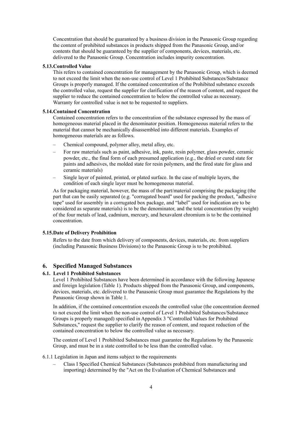Concentration that should be guaranteed by a business division in the Panasonic Group regarding the content of prohibited substances in products shipped from the Panasonic Group, and/or contents that should be guaranteed by the supplier of components, devices, materials, etc. delivered to the Panasonic Group. Concentration includes impurity concentration.

#### **5.13.Controlled Value**

This refers to contained concentration for management by the Panasonic Group, which is deemed to not exceed the limit when the non-use control of Level 1 Prohibited Substances/Substance Groups is properly managed. If the contained concentration of the Prohibited substance exceeds the controlled value, request the supplier for clarification of the reason of content, and request the supplier to reduce the contained concentration to below the controlled value as necessary. Warranty for controlled value is not to be requested to suppliers.

### **5.14.Contained Concentration**

Contained concentration refers to the concentration of the substance expressed by the mass of homogeneous material placed in the denominator position. Homogeneous material refers to the material that cannot be mechanically disassembled into different materials. Examples of homogeneous materials are as follows.

- Chemical compound, polymer alloy, metal alloy, etc.
- For raw materials such as paint, adhesive, ink, paste, resin polymer, glass powder, ceramic powder, etc., the final form of each presumed application (e.g., the dried or cured state for paints and adhesives, the molded state for resin polymers, and the fired state for glass and ceramic materials)
- Single layer of painted, printed, or plated surface. In the case of multiple layers, the condition of each single layer must be homogeneous material.

As for packaging material, however, the mass of the part/material comprising the packaging (the part that can be easily separated (e.g. "corrugated board" used for packing the product, "adhesive tape" used for assembly in a corrugated box package, and "label" used for indication are to be considered as separate materials) is to be the denominator, and the total concentration (by weight) of the four metals of lead, cadmium, mercury, and hexavalent chromium is to be the contained concentration.

#### **5.15.Date of Delivery Prohibition**

Refers to the date from which delivery of components, devices, materials, etc. from suppliers (including Panasonic Business Divisions) to the Panasonic Group is to be prohibited.

## <span id="page-5-0"></span>**6. Specified Managed Substances**

#### <span id="page-5-1"></span>**6.1. Level 1 Prohibited Substances**

Level 1 Prohibited Substances have been determined in accordance with the following Japanese and foreign legislation [\(Table 1\)](#page-7-0). Products shipped from the Panasonic Group, and components, devices, materials, etc. delivered to the Panasonic Group must guarantee the Regulations by the Panasonic Group shown in [Table 1.](#page-7-0)

In addition, if the contained concentration exceeds the controlled value (the concentration deemed to not exceed the limit when the non-use control of Level 1 Prohibited Substances/Substance Groups is properly managed) specified in Appendix 3 "Controlled Values for Prohibited Substances," request the supplier to clarify the reason of content, and request reduction of the contained concentration to below the controlled value as necessary.

The content of Level 1 Prohibited Substances must guarantee the Regulations by the Panasonic Group, and must be in a state controlled to be less than the controlled value.

#### 6.1.1 Legislation in Japan and items subject to the requirements

– Class I Specified Chemical Substances (Substances prohibited from manufacturing and importing) determined by the "Act on the Evaluation of Chemical Substances and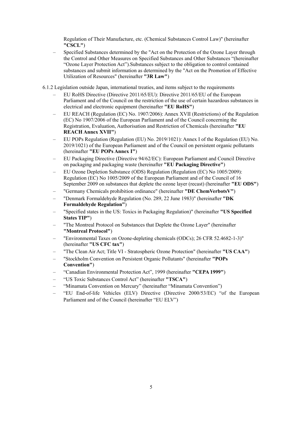Regulation of Their Manufacture, etc. (Chemical Substances Control Law)" (hereinafter **"CSCL"**)

- Specified Substances determined by the "Act on the Protection of the Ozone Layer through the Control and Other Measures on Specified Substances and Other Substances "(hereinafter "Ozone Layer Protection Act").Substances subject to the obligation to control contained substances and submit information as determined by the "Act on the Promotion of Effective Utilization of Resources" (hereinafter **"3R Law"**)
- 6.1.2 Legislation outside Japan, international treaties, and items subject to the requirements
	- EU RoHS Directive (Directive 2011/65/EU): Directive 2011/65/EU of the European Parliament and of the Council on the restriction of the use of certain hazardous substances in electrical and electronic equipment (hereinafter **"EU RoHS"**)
	- EU REACH (Regulation (EC) No. 1907/2006): Annex XVII (Restrictions) of the Regulation (EC) No 1907/2006 of the European Parliament and of the Council concerning the Registration, Evaluation, Authorisation and Restriction of Chemicals (hereinafter **"EU REACH Annex XVII"**)
	- EU POPs Regulation (Regulation (EU) No. 2019/1021): Annex I of the Regulation (EU) No. 2019/1021) of the European Parliament and of the Council on persistent organic pollutants (hereinafter **"EU POPs Annex I"**)
	- EU Packaging Directive (Directive 94/62/EC): European Parliament and Council Directive on packaging and packaging waste (hereinafter **"EU Packaging Directive"**)
	- EU Ozone Depletion Substance (ODS) Regulation (Regulation (EC) No 1005/2009): Regulation (EC) No 1005/2009 of the European Parliament and of the Council of 16 September 2009 on substances that deplete the ozone layer (recast) (hereinafter **"EU ODS"**)
	- "Germany Chemicals prohibition ordinance" (hereinafter **"DE ChemVerbotsV"**)
	- "Denmark Formaldehyde Regulation (No. 289, 22 June 1983)" (hereinafter **"DK Formaldehyde Regulation"**)
	- "Specified states in the US: Toxics in Packaging Regulation)" (hereinafter **"US Specified States TIP"**)
	- "The Montreal Protocol on Substances that Deplete the Ozone Layer" (hereinafter **"Montreal Protocol"**)
	- "Environmental Taxes on Ozone-depleting chemicals (ODCs); 26 CFR 52.4682-1-3)" (hereinafter **"US CFC tax"**)
	- "The Clean Air Act; Title VI Stratospheric Ozone Protection" (hereinafter **"US CAA"**)
	- "Stockholm Convention on Persistent Organic Pollutants" (hereinafter **"POPs Convention"**)
	- "Canadian Environmental Protection Act", 1999 (hereinafter **"CEPA 1999"**)
	- "US Toxic Substances Control Act" (hereinafter **"TSCA"**)
	- "Minamata Convention on Mercury" (hereinafter "Minamata Convention")
	- "EU End-of-life Vehicles (ELV) Directive (Directive 2000/53/EC) "of the European Parliament and of the Council (hereinafter "EU ELV")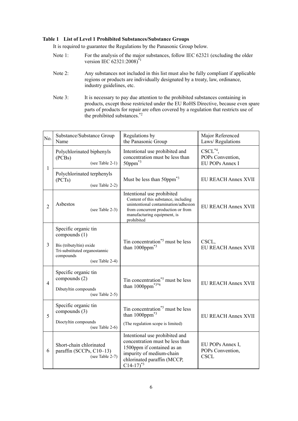#### <span id="page-7-0"></span>**Table 1 List of Level 1 Prohibited Substances/Substance Groups**

It is required to guarantee the Regulations by the Panasonic Group below.

- Note 1: For the analysis of the major substances, follow IEC 62321 (excluding the older version IEC 62321:2008)<sup>\*1</sup>
- Note 2: Any substances not included in this list must also be fully compliant if applicable regions or products are individually designated by a treaty, law, ordinance, industry guidelines, etc.
- Note 3: It is necessary to pay due attention to the prohibited substances containing in products, except those restricted under the EU RoHS Directive, because even spare parts of products for repair are often covered by a regulation that restricts use of the prohibited substances.\*2

| No.            | Substance/Substance Group<br>Name                                                                                                 | Regulations by<br>the Panasonic Group                                                                                                                                                         | Major Referenced<br>Laws/Regulations                 |
|----------------|-----------------------------------------------------------------------------------------------------------------------------------|-----------------------------------------------------------------------------------------------------------------------------------------------------------------------------------------------|------------------------------------------------------|
| $\mathbf{1}$   | Polychlorinated biphenyls<br>(PCBs)<br>(see Table 2-1)                                                                            | Intentional use prohibited and<br>concentration must be less than<br>50ppm <sup>*3</sup>                                                                                                      | $CSCL^{*4}$ ,<br>POPs Convention,<br>EU POPs Annex I |
|                | Polychlorinated terphenyls<br>(PCTs)<br>(see Table 2-2)                                                                           | Must be less than 50ppm <sup>*3</sup>                                                                                                                                                         | EU REACH Annex XVII                                  |
| $\overline{2}$ | Asbestos<br>(see Table 2-3)                                                                                                       | Intentional use prohibited<br>Content of this substance, including<br>unintentional contamination/adhesion<br>from concurrent production or from<br>manufacturing equipment, is<br>prohibited | <b>EU REACH Annex XVII</b>                           |
| 3              | Specific organic tin<br>compounds (1)<br>Bis (tributyltin) oxide<br>Tri-substituted organostannic<br>compounds<br>(see Table 2-4) | Tin concentration <sup>*5</sup> must be less<br>than $1000$ ppm $*3$                                                                                                                          | CSCL,<br><b>EU REACH Annex XVII</b>                  |
| $\overline{4}$ | Specific organic tin<br>compounds (2)<br>Dibutyltin compounds<br>(see Table 2-5)                                                  | Tin concentration <sup>*5</sup> must be less<br>than $1000$ ppm <sup>*3*6</sup>                                                                                                               | <b>EU REACH Annex XVII</b>                           |
| 5              | Specific organic tin<br>compounds (3)<br>Dioctyltin compounds<br>(see Table 2-6)                                                  | Tin concentration <sup>*5</sup> must be less<br>than $1000$ ppm <sup>*3</sup><br>(The regulation scope is limited)                                                                            | EU REACH Annex XVII                                  |
| 6              | Short-chain chlorinated<br>paraffin (SCCPs, C10-13)<br>(see Table 2-7)                                                            | Intentional use prohibited and<br>concentration must be less than<br>1500ppm if contained as an<br>impurity of medium-chain<br>chlorinated paraffin (MCCP,<br>$C14-17$ <sup>*3</sup>          | EU POPs Annex I,<br>POPs Convention,<br><b>CSCL</b>  |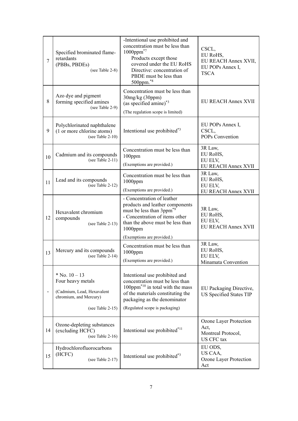| 7  | Specified brominated flame-<br>retardants<br>(PBBs, PBDEs)<br>(see Table 2-8)                                      | -Intentional use prohibited and<br>concentration must be less than<br>$1000$ ppm $^{*7}$<br>Products except those<br>covered under the EU RoHS<br>Directive: concentration of<br>PBDE must be less than<br>500ppm.*8                  | CSCL,<br>EU RoHS,<br>EU REACH Annex XVII,<br>EU POPs Annex I,<br><b>TSCA</b> |
|----|--------------------------------------------------------------------------------------------------------------------|---------------------------------------------------------------------------------------------------------------------------------------------------------------------------------------------------------------------------------------|------------------------------------------------------------------------------|
| 8  | Azo dye and pigment<br>forming specified amines<br>(see Table 2-9)                                                 | Concentration must be less than<br>30mg/kg(30ppm)<br>(as specified amine) <sup>*3</sup><br>(The regulation scope is limited)                                                                                                          | EU REACH Annex XVII                                                          |
| 9  | Polychlorinated naphthalene<br>(1 or more chlorine atoms)<br>(see Table $2-10$ )                                   | Intentional use prohibited <sup>*3</sup>                                                                                                                                                                                              | EU POPs Annex I,<br>CSCL,<br>POPs Convention                                 |
| 10 | Cadmium and its compounds<br>(see Table $2-11$ )                                                                   | Concentration must be less than<br>100ppm<br>(Exemptions are provided.)                                                                                                                                                               | 3R Law,<br>EU RoHS,<br>EU ELV,<br><b>EU REACH Annex XVII</b>                 |
| 11 | Lead and its compounds<br>(see Table 2-12)                                                                         | Concentration must be less than<br>$1000$ ppm<br>(Exemptions are provided.)                                                                                                                                                           | 3R Law,<br>EU RoHS,<br>EU ELV,<br>EU REACH Annex XVII                        |
| 12 | Hexavalent chromium<br>compounds<br>(see Table $2-13$ )                                                            | - Concentration of leather<br>products and leather components<br>must be less than 3ppm <sup>*9</sup><br>- Concentration of items other<br>than the above must be less than<br>$1000$ ppm                                             | 3R Law,<br>EU RoHS,<br>EU ELV,<br><b>EU REACH Annex XVII</b>                 |
| 13 | Mercury and its compounds<br>(see Table $2-14$ )                                                                   | (Exemptions are provided.)<br>Concentration must be less than<br>$1000$ ppm<br>(Exemptions are provided.)                                                                                                                             | 3R Law,<br>EU RoHS,<br>EU ELV,<br>Minamata Convention                        |
|    | $*$ No. $10 - 13$<br>Four heavy metals<br>(Cadmium, Lead, Hexavalent<br>chromium, and Mercury)<br>(see Table 2-15) | Intentional use prohibited and<br>concentration must be less than<br>100ppm <sup><math>*10</math></sup> in total with the mass<br>of the materials constituting the<br>packaging as the denominator<br>(Regulated scope is packaging) | EU Packaging Directive,<br>US Specified States TIP                           |
| 14 | Ozone-depleting substances<br>(excluding HCFC)<br>(see Table $2-16$ )                                              | Intentional use prohibited* <sup>11</sup>                                                                                                                                                                                             | Ozone Layer Protection<br>Act,<br>Montreal Protocol,<br>US CFC tax           |
| 15 | Hydrochlorofluorocarbons<br>(HCFC)<br>(see Table 2-17)                                                             | Intentional use prohibited <sup>*3</sup>                                                                                                                                                                                              | EU ODS,<br>US CAA,<br>Ozone Layer Protection<br>Act                          |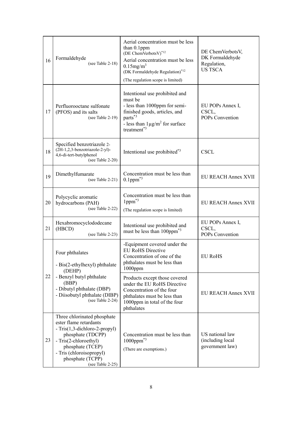| 16 | Formaldehyde<br>(see Table $2-18$ )                                                                                                                                                                                          | Aerial concentration must be less<br>than 0.1ppm<br>(DE ChemVerbotsV)* $12$<br>Aerial concentration must be less<br>$0.15$ mg/m <sup>3</sup><br>(DK Formaldehyde Regulation)*12<br>(The regulation scope is limited) | DE ChemVerbotsV,<br>DK Formaldehyde<br>Regulation,<br><b>US TSCA</b> |
|----|------------------------------------------------------------------------------------------------------------------------------------------------------------------------------------------------------------------------------|----------------------------------------------------------------------------------------------------------------------------------------------------------------------------------------------------------------------|----------------------------------------------------------------------|
| 17 | Perfluorooctane sulfonate<br>(PFOS) and its salts<br>(see Table 2-19)                                                                                                                                                        | Intentional use prohibited and<br>must be<br>- less than 1000ppm for semi-<br>finished goods, articles, and<br>parts <sup>*3</sup><br>- less than $1\mu g/m^2$ for surface<br>treatment <sup>*3</sup>                | EU POPs Annex I,<br>CSCL,<br>POPs Convention                         |
| 18 | Specified benzotriazole 2-<br>(2H-1,2,3-benzotriazole-2-yl)-<br>4,6-di-tert-butylphenol<br>(see Table 2-20)                                                                                                                  | Intentional use prohibited <sup>*3</sup>                                                                                                                                                                             | <b>CSCL</b>                                                          |
| 19 | Dimethylfumarate<br>(see Table 2-21)                                                                                                                                                                                         | Concentration must be less than<br>$0.1$ ppm $*3$                                                                                                                                                                    | <b>EU REACH Annex XVII</b>                                           |
| 20 | Polycyclic aromatic<br>hydrocarbons (PAH)<br>(see Table 2-22)                                                                                                                                                                | Concentration must be less than<br>1ppm <sup>*3</sup><br>(The regulation scope is limited)                                                                                                                           | EU REACH Annex XVII                                                  |
| 21 | Hexabromocyclododecane<br>(HBCD)<br>(see Table 2-23)                                                                                                                                                                         | Intentional use prohibited and<br>must be less than 100ppm <sup>*3</sup>                                                                                                                                             | EU POPs Annex I,<br>CSCL,<br>POPs Convention                         |
|    | Four phthalates<br>- Bis(2-ethylhexyl) phthalate<br>(DEHP)                                                                                                                                                                   | -Equipment covered under the<br><b>EU RoHS Directive</b><br>Concentration of one of the<br>phthalates must be less than<br>$1000$ ppm                                                                                | <b>EU RoHS</b>                                                       |
| 22 | - Benzyl butyl phthalate<br>(BBP)<br>- Dibutyl phthalate (DBP)<br>- Diisobutyl phthalate (DIBP)<br>(see Table 2-24)                                                                                                          | Products except those covered<br>under the EU RoHS Directive<br>Concentration of the four<br>phthalates must be less than<br>1000ppm in total of the four<br>phthalates                                              | EU REACH Annex XVII                                                  |
| 23 | Three chlorinated phosphate<br>ester flame retardants<br>- Tris(1,3-dichloro-2-propyl)<br>phosphate (TDCPP)<br>- Tris(2-chloroethyl)<br>phosphate (TCEP)<br>- Tris (chloroisopropyl)<br>phosphate (TCPP)<br>(see Table 2-25) | Concentration must be less than<br>$1000$ ppm $*3$<br>(There are exemptions.)                                                                                                                                        | US national law<br>(including local<br>government law)               |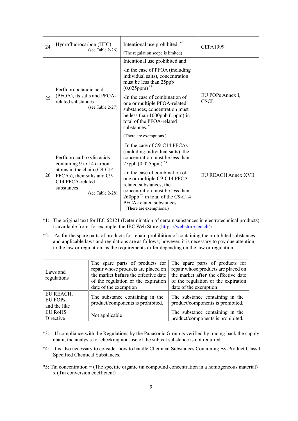| 24 | Hydrofluorocarbon (HFC)<br>(see Table $2-26$ )                                                                                                                            | Intentional use prohibited. *3<br>(The regulation scope is limited)                                                                                                                                                                                                                                                                                                                            | <b>CEPA1999</b>          |
|----|---------------------------------------------------------------------------------------------------------------------------------------------------------------------------|------------------------------------------------------------------------------------------------------------------------------------------------------------------------------------------------------------------------------------------------------------------------------------------------------------------------------------------------------------------------------------------------|--------------------------|
| 25 | Perfluorooctanoic acid<br>(PFOA), its salts and PFOA-<br>related substances<br>(see Table 2-27)                                                                           | Intentional use prohibited and<br>-In the case of PFOA (including<br>individual salts), concentration<br>must be less than 25ppb<br>$(0.025$ ppm $)^*$ <sup>3</sup><br>-In the case of combination of<br>one or multiple PFOA-related<br>substances, concentration must<br>be less than 1000ppb (1ppm) in<br>total of the PFOA-related<br>substances. <sup>*3</sup><br>(There are exemptions.) | EU POPs Annex I,<br>CSCL |
| 26 | Perfluorocarboxylic acids<br>containing 9 to 14 carbon<br>atoms in the chain (C9-C14<br>PFCAs), their salts and C9-<br>C14 PFCA-related<br>substances<br>(see Table 2-28) | -In the case of C9-C14 PFCAs<br>(including individual salts), the<br>concentration must be less than<br>25ppb (0.025ppm) <sup>*3</sup><br>-In the case of combination of<br>one or multiple C9-C14 PFCA-<br>related substances, the<br>concentration must be less than<br>260ppb <sup>*3</sup> in total of the C9-C14<br>PFCA-related substances.<br>(There are exemptions.)                   | EU REACH Annex XVII      |

- \*1: The original text for IEC 62321 (Determination of certain substances in electrotechnical products) is available from, for example, the IEC Web Store [\(https://webstore.iec.ch/\)](https://webstore.iec.ch/)
- \*2: As for the spare parts of products for repair, prohibition of containing the prohibited substances and applicable laws and regulations are as follows; however, it is necessary to pay due attention to the law or regulation, as the requirements differ depending on the law or regulation.

| Laws and<br>regulations               | The spare parts of products for<br>repair whose products are placed on<br>the market <b>before</b> the effective date<br>of the regulation or the expiration<br>date of the exemption | The spare parts of products for<br>repair whose products are placed on<br>the market after the effective date<br>of the regulation or the expiration<br>date of the exemption |
|---------------------------------------|---------------------------------------------------------------------------------------------------------------------------------------------------------------------------------------|-------------------------------------------------------------------------------------------------------------------------------------------------------------------------------|
| EU REACH,<br>EU POPs,<br>and the like | The substance containing in the<br>product/components is prohibited.                                                                                                                  | The substance containing in the<br>product/components is prohibited.                                                                                                          |
| <b>EU RoHS</b><br>Directive           | Not applicable                                                                                                                                                                        | The substance containing in the<br>product/components is prohibited.                                                                                                          |

- \*3: If compliance with the Regulations by the Panasonic Group is verified by tracing back the supply chain, the analysis for checking non-use of the subject substance is not required.
- \*4: It is also necessary to consider how to handle Chemical Substances Containing By-Product Class I Specified Chemical Substances.
- \*5: Tin concentration = (The specific organic tin compound concentration in a homogeneous material) x (Tin conversion coefficient)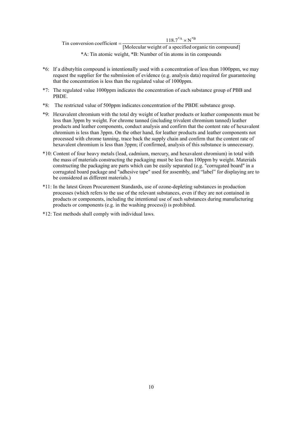Tin conversion coefficient  $=\frac{118.7^{*A} \times N^{*B}}{[{\text{Molecular weight of a specified organic tin compound}}]}$ \*A: Tin atomic weight, \*B: Number of tin atoms in tin compounds

- \*6: If a dibutyltin compound is intentionally used with a concentration of less than 1000ppm, we may request the supplier for the submission of evidence (e.g. analysis data) required for guaranteeing that the concentration is less than the regulated value of 1000ppm.
- \*7: The regulated value 1000ppm indicates the concentration of each substance group of PBB and PBDE.
- \*8: The restricted value of 500ppm indicates concentration of the PBDE substance group.
- \*9: Hexavalent chromium with the total dry weight of leather products or leather components must be less than 3ppm by weight. For chrome tanned (including trivalent chromium tanned) leather products and leather components, conduct analysis and confirm that the content rate of hexavalent chromium is less than 3ppm. On the other hand, for leather products and leather components not processed with chrome tanning, trace back the supply chain and confirm that the content rate of hexavalent chromium is less than 3ppm; if confirmed, analysis of this substance is unnecessary.
- \*10: Content of four heavy metals (lead, cadmium, mercury, and hexavalent chromium) in total with the mass of materials constructing the packaging must be less than 100ppm by weight. Materials constructing the packaging are parts which can be easily separated (e.g. "corrugated board" in a corrugated board package and "adhesive tape" used for assembly, and "label" for displaying are to be considered as different materials.)
- \*11: In the latest Green Procurement Standards, use of ozone-depleting substances in production processes (which refers to the use of the relevant substances, even if they are not contained in products or components, including the intentional use of such substances during manufacturing products or components (e.g. in the washing process)) is prohibited.
- \*12: Test methods shall comply with individual laws.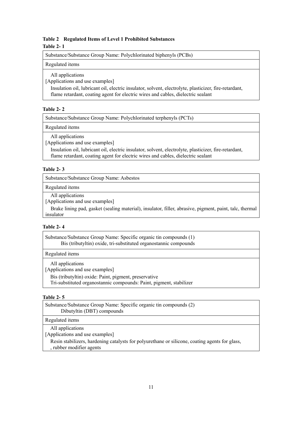## <span id="page-12-1"></span><span id="page-12-0"></span>**Table 2 Regulated Items of Level 1 Prohibited Substances Table 2- 1**

Substance/Substance Group Name: Polychlorinated biphenyls (PCBs)

### Regulated items

All applications

[Applications and use examples]

Insulation oil, lubricant oil, electric insulator, solvent, electrolyte, plasticizer, fire-retardant, flame retardant, coating agent for electric wires and cables, dielectric sealant

## <span id="page-12-2"></span>**Table 2- 2**

Substance/Substance Group Name: Polychlorinated terphenyls (PCTs)

Regulated items

All applications

[Applications and use examples]

Insulation oil, lubricant oil, electric insulator, solvent, electrolyte, plasticizer, fire-retardant, flame retardant, coating agent for electric wires and cables, dielectric sealant

## <span id="page-12-3"></span>**Table 2- 3**

Substance/Substance Group Name: Asbestos

Regulated items

All applications

[Applications and use examples]

Brake lining pad, gasket (sealing material), insulator, filler, abrasive, pigment, paint, talc, thermal insulator

## <span id="page-12-4"></span>**Table 2- 4**

Substance/Substance Group Name: Specific organic tin compounds (1) Bis (tributyltin) oxide, tri-substituted organostannic compounds

Regulated items

All applications

[Applications and use examples]

Bis (tributyltin) oxide: Paint, pigment, preservative

Tri-substituted organostannic compounds: Paint, pigment, stabilizer

## <span id="page-12-5"></span>**Table 2- 5**

| Substance/Substance Group Name: Specific organic tin compounds (2)<br>Dibutyltin (DBT) compounds                           |
|----------------------------------------------------------------------------------------------------------------------------|
| Regulated items                                                                                                            |
| All applications<br>[Applications and use examples]                                                                        |
| Resin stabilizers, hardening catalysts for polyurethane or silicone, coating agents for glass,<br>, rubber modifier agents |
|                                                                                                                            |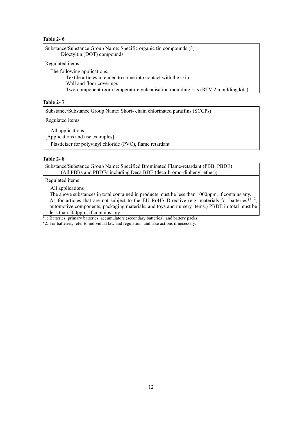<span id="page-13-0"></span>

| Substance/Substance Group Name: Specific organic tin compounds (3)<br>Dioctyltin (DOT) compounds |  |
|--------------------------------------------------------------------------------------------------|--|
| Regulated items                                                                                  |  |
| The following applications:                                                                      |  |

- Textile articles intended to come into contact with the skin
- Wall and floor coverings
- Two-component room temperature vulcanisation moulding kits (RTV-2 moulding kits)

## <span id="page-13-1"></span>**Table 2- 7**

Substance/Substance Group Name: Short- chain chlorinated paraffins (SCCPs)

Regulated items

All applications

[Applications and use examples]

Plasticizer for polyvinyl chloride (PVC), flame retardant

## <span id="page-13-2"></span>**Table 2- 8**

Substance/Substance Group Name: Specified Brominated Flame-retardant (PBB, PBDE) (All PBBs and PBDEs including Deca BDE (deca-bromo-diphenyl-ether))

## Regulated items

All applications

The above substances in total contained in products must be less than 1000ppm, if contains any. As for articles that are not subject to the EU RoHS Directive (e.g. materials for batteries<sup>\*1, 2</sup>, automotive components, packaging materials, and toys and nursery items.) PBDE in total must be less than 500ppm, if contains any.

\*1: Batteries: primary batteries, accumulators (secondary batteries), and battery packs

<span id="page-13-3"></span>\*2: For batteries, refer to individual law and regulation, and take actions if necessary.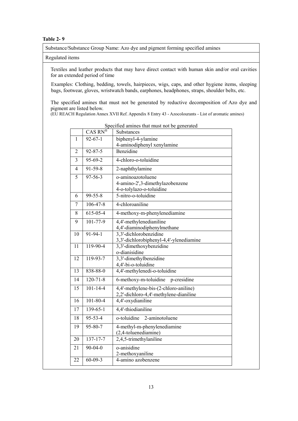Substance/Substance Group Name: Azo dye and pigment forming specified amines

#### Regulated items

Textiles and leather products that may have direct contact with human skin and/or oral cavities for an extended period of time

Examples: Clothing, bedding, towels, hairpieces, wigs, caps, and other hygiene items, sleeping bags, footwear, gloves, wristwatch bands, earphones, headphones, straps, shoulder belts, etc.

The specified amines that must not be generated by reductive decomposition of Azo dye and pigment are listed below.

(EU REACH Regulation Annex XVII Ref. Appendix 8 Entry 43 - Azocolourants - List of aromatic amines)

|                | CAS RN®        | Substances                                          |  |  |
|----------------|----------------|-----------------------------------------------------|--|--|
| $\mathbf{1}$   | $92 - 67 - 1$  | biphenyl-4-ylamine                                  |  |  |
|                |                | 4-aminodiphenyl xenylamine                          |  |  |
| $\overline{2}$ | $92 - 87 - 5$  | Benzidine                                           |  |  |
| $\overline{3}$ | 95-69-2        | 4-chloro-o-toluidine                                |  |  |
| 4              | $91 - 59 - 8$  | 2-naphthylamine                                     |  |  |
| 5              | $97 - 56 - 3$  | o-aminoazotoluene                                   |  |  |
|                |                | 4-amino-2',3-dimethylazobenzene                     |  |  |
|                |                | 4-o-tolylazo-o-toluidine                            |  |  |
| 6              | $99 - 55 - 8$  | 5-nitro-o-toluidine                                 |  |  |
| 7              | $106 - 47 - 8$ | 4-chloroaniline                                     |  |  |
| 8              | 615-05-4       | 4-methoxy-m-phenylenediamine                        |  |  |
| 9              | 101-77-9       | 4,4'-methylenedianiline                             |  |  |
|                |                | 4,4'-diaminodiphenylmethane                         |  |  |
| 10             | $91 - 94 - 1$  | 3,3'-dichlorobenzidine                              |  |  |
|                |                | 3,3'-dichlorobiphenyl-4,4'-ylenediamine             |  |  |
| 11             | 119-90-4       | 3,3'-dimethoxybenzidine                             |  |  |
|                |                | o-dianisidine                                       |  |  |
| 12             | 119-93-7       | 3,3'-dimethylbenzidine                              |  |  |
|                |                | 4,4'-bi-o-toluidine                                 |  |  |
| 13             | 838-88-0       | 4,4'-methylenedi-o-toluidine                        |  |  |
| 14             | $120 - 71 - 8$ | 6-methoxy-m-toluidine<br>p-cresidine                |  |  |
| 15             | $101 - 14 - 4$ | 4,4'-methylene-bis-(2-chloro-aniline)               |  |  |
|                |                | 2,2'-dichloro-4,4'-methylene-dianiline              |  |  |
| 16             | $101 - 80 - 4$ | 4,4'-oxydianiline                                   |  |  |
| 17             | $139 - 65 - 1$ | 4,4'-thiodianiline                                  |  |  |
| 18             | $95 - 53 - 4$  | o-toluidine<br>2-aminotoluene                       |  |  |
| 19             | 95-80-7        | 4-methyl-m-phenylenediamine<br>(2,4-toluenediamine) |  |  |
| 20             | $137 - 17 - 7$ | 2,4,5-trimethylaniline                              |  |  |
| 21             | $90 - 04 - 0$  | o-anisidine                                         |  |  |
|                |                | 2-methoxyaniline                                    |  |  |
| 22             | $60 - 09 - 3$  | 4-amino azobenzene                                  |  |  |

Specified amines that must not be generated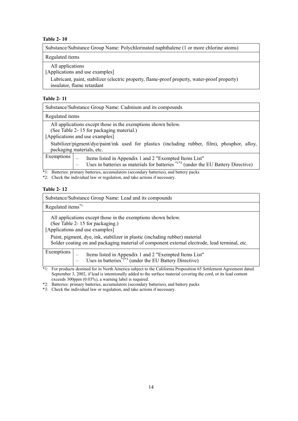<span id="page-15-0"></span>Substance/Substance Group Name: Polychlorinated naphthalene (1 or more chlorine atoms)

Regulated items

All applications

[Applications and use examples]

Lubricant, paint, stabilizer (electric property, flame-proof property, water-proof property) insulator, flame retardant

## <span id="page-15-1"></span>**Table 2- 11**

| Substance/Substance Group Name: Cadmium and its compounds                                                                                                                                                                                                                 |  |  |
|---------------------------------------------------------------------------------------------------------------------------------------------------------------------------------------------------------------------------------------------------------------------------|--|--|
| Regulated items                                                                                                                                                                                                                                                           |  |  |
| All applications except those in the exemptions shown below.<br>(See Table 2-15 for packaging material.)<br>[Applications and use examples]<br>Stabilizer/pigment/dye/paint/ink used for plastics (including rubber, film), phosphor, alloy,<br>packaging materials, etc. |  |  |
| Exemptions $\Big $ – Items listed in Appendix 1 and 2 "Exempted Items List"<br>- Uses in batteries as materials for batteries $*1*2$ (under the EU Battery Directive)                                                                                                     |  |  |
| *1: Batteries: primary batteries, accumulators (secondary batteries), and battery packs<br>*2: Check the individual law or regulation, and take actions if necessary.                                                                                                     |  |  |

## <span id="page-15-2"></span>**Table 2- 12**

| Substance/Substance Group Name: Lead and its compounds                                                                                                                                                                                                                                                             |  |
|--------------------------------------------------------------------------------------------------------------------------------------------------------------------------------------------------------------------------------------------------------------------------------------------------------------------|--|
| Regulated items <sup>*1</sup>                                                                                                                                                                                                                                                                                      |  |
| All applications except those in the exemptions shown below.<br>(See Table 2-15 for packaging.)<br>[Applications and use examples]<br>Paint, pigment, dye, ink, stabilizer in plastic (including rubber) material<br>Solder coating on and packaging material of component external electrode, lead terminal, etc. |  |
| Exemptions  <br>Items listed in Appendix 1 and 2 "Exempted Items List"<br>- Uses in batteries <sup>*2*3</sup> (under the EU Battery Directive)                                                                                                                                                                     |  |
| *1: For products destined for in North America subject to the California Proposition 65 Settlement Agreement dated                                                                                                                                                                                                 |  |

September 3, 2002, if lead is intentionally added to the surface material covering the cord, or its lead content exceeds 300ppm (0.03%), a warning label is required.

\*2: Batteries: primary batteries, accumulators (secondary batteries), and battery packs

<span id="page-15-3"></span>\*3: Check the individual law or regulation, and take actions if necessary.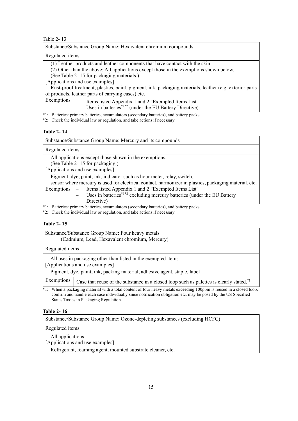| Substance/Substance Group Name: Hexavalent chromium compounds                                          |  |  |  |  |
|--------------------------------------------------------------------------------------------------------|--|--|--|--|
| Regulated items                                                                                        |  |  |  |  |
| (1) Leather products and leather components that have contact with the skin                            |  |  |  |  |
| (2) Other than the above: All applications except those in the exemptions shown below.                 |  |  |  |  |
| (See Table 2-15 for packaging materials.)                                                              |  |  |  |  |
| [Applications and use examples]                                                                        |  |  |  |  |
| Rust-proof treatment, plastics, paint, pigment, ink, packaging materials, leather (e.g. exterior parts |  |  |  |  |
| of products, leather parts of carrying cases) etc.                                                     |  |  |  |  |
| Exemptions  <br>Items listed Appendix 1 and 2 "Exempted Items List"                                    |  |  |  |  |
| $-$ Uses in batteries <sup>*1*2</sup> (under the EU Battery Directive)                                 |  |  |  |  |
| *1: Batteries: primary batteries, accumulators (secondary batteries), and battery packs                |  |  |  |  |

\*2: Check the individual law or regulation, and take actions if necessary.

#### <span id="page-16-0"></span>**Table 2- 14**

| Substance/Substance Group Name: Mercury and its compounds                                             |                                                                                                  |  |  |  |
|-------------------------------------------------------------------------------------------------------|--------------------------------------------------------------------------------------------------|--|--|--|
|                                                                                                       | Regulated items                                                                                  |  |  |  |
| All applications except those shown in the exemptions.                                                |                                                                                                  |  |  |  |
|                                                                                                       | (See Table 2-15 for packaging.)                                                                  |  |  |  |
|                                                                                                       | [Applications and use examples]                                                                  |  |  |  |
| Pigment, dye, paint, ink, indicator such as hour meter, relay, switch,                                |                                                                                                  |  |  |  |
| sensor where mercury is used for electrical contact, harmonizer in plastics, packaging material, etc. |                                                                                                  |  |  |  |
| Exemptions                                                                                            | Items listed Appendix 1 and 2 "Exempted Items List"                                              |  |  |  |
|                                                                                                       | Uses in batteries <sup><math>*1*2</math></sup> excluding mercury batteries (under the EU Battery |  |  |  |
|                                                                                                       | Directive)                                                                                       |  |  |  |

\*1: Batteries: primary batteries, accumulators (secondary batteries), and battery packs

\*2: Check the individual law or regulation, and take actions if necessary.

#### <span id="page-16-1"></span>**Table 2- 15**

| Substance/Substance Group Name: Four heavy metals<br>(Cadmium, Lead, Hexavalent chromium, Mercury)                                                                            |                                                                                                     |  |  |
|-------------------------------------------------------------------------------------------------------------------------------------------------------------------------------|-----------------------------------------------------------------------------------------------------|--|--|
| Regulated items                                                                                                                                                               |                                                                                                     |  |  |
| All uses in packaging other than listed in the exempted items<br>[Applications and use examples]<br>Pigment, dye, paint, ink, packing material, adhesive agent, staple, label |                                                                                                     |  |  |
| Exemptions                                                                                                                                                                    | Case that reuse of the substance in a closed loop such as palettes is clearly stated. <sup>*1</sup> |  |  |

\*1: When a packaging material with a total content of four heavy metals exceeding 100ppm is reused in a closed loop, confirm and handle each case individually since notification obligation etc. may be posed by the US Specified States Toxics in Packaging Regulation.

#### <span id="page-16-2"></span>**Table 2- 16**

<span id="page-16-3"></span>

| Substance/Substance Group Name: Ozone-depleting substances (excluding HCFC)                                        |
|--------------------------------------------------------------------------------------------------------------------|
| Regulated items                                                                                                    |
| All applications<br>[Applications and use examples]<br>Refrigerant, foaming agent, mounted substrate cleaner, etc. |
|                                                                                                                    |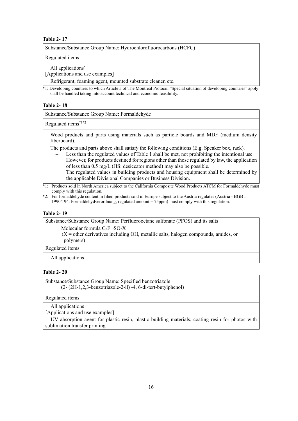| Substance/Substance Group Name: Hydrochlorofluorocarbons (HCFC) |  |  |  |
|-----------------------------------------------------------------|--|--|--|
| Regulated items                                                 |  |  |  |

All applications\*1

[Applications and use examples]

Refrigerant, foaming agent, mounted substrate cleaner, etc.

\*1: Developing countries to which Article 5 of The Montreal Protocol "Special situation of developing countries" apply shall be handled taking into account technical and economic feasibility.

#### <span id="page-17-0"></span>**Table 2- 18**

Substance/Substance Group Name: Formaldehyde

Regulated items\*1\*2

Wood products and parts using materials such as particle boards and MDF (medium density fiberboard).

The products and parts above shall satisfy the following conditions (E.g. Speaker box, rack).

– Less than the regulated values of Table 1 shall be met, not prohibiting the intentional use. However, for products destined for regions other than those regulated by law, the application of less than 0.5 mg/L (JIS: desiccator method) may also be possible. The regulated values in building products and housing equipment shall be determined by the applicable Divisional Companies or Business Division.

\*1: Products sold in North America subject to the California Composite Wood Products ATCM for Formaldehyde must comply with this regulation.

\*2: For formaldehyde content in fiber, products sold in Europe subject to the Austria regulates (Austria - BGB I 1990/194: Formaldehydverordnung, regulated amount = 75ppm) must comply with this regulation.

#### <span id="page-17-1"></span>**Table 2- 19**

Substance/Substance Group Name: Perfluorooctane sulfonate (PFOS) and its salts

Molecular formula  $C_8F_{17}SO_2X$ 

 $(X = \text{other derivatives including OH, metallic salts, halogen compounds, amides, or}$ polymers)

Regulated items

All applications

## <span id="page-17-2"></span>**Table 2- 20**

Substance/Substance Group Name: Specified benzotriazole (2- (2H-1,2,3-benzotriazole-2-il) -4, 6-di-tert-butylphenol)

Regulated items

All applications

[Applications and use examples]

<span id="page-17-3"></span>UV absorption agent for plastic resin, plastic building materials, coating resin for photos with sublimation transfer printing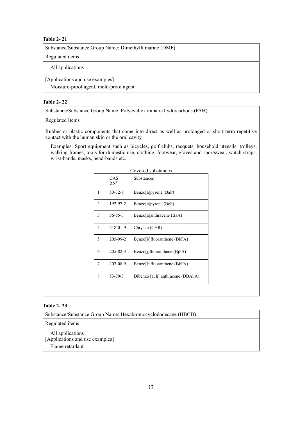Substance/Substance Group Name: Dimethylfumarate (DMF)

Regulated items

All applications

[Applications and use examples]

Moisture-proof agent, mold-proof agent

## <span id="page-18-0"></span>**Table 2- 22**

Substance/Substance Group Name: Polycyclic aromatic hydrocarbons (PAH)

## Regulated Items

Rubber or plastic components that come into direct as well as prolonged or short-term repetitive contact with the human skin or the oral cavity.

Examples: Sport equipment such as bicycles, golf clubs, racquets, household utensils, trolleys, walking frames, tools for domestic use, clothing, footwear, gloves and sportswear, watch-straps, wrist-bands, masks, head-bands etc.

| Covered substances |                         |                                   |  |
|--------------------|-------------------------|-----------------------------------|--|
|                    | CAS<br>$RN^{\circledR}$ | <b>Substances</b>                 |  |
| 1                  | $50 - 32 - 8$           | Benzo[a]pyrene (BaP)              |  |
| $\overline{c}$     | 192-97-2                | Benzo[e]pyrene (BeP)              |  |
| 3                  | $56 - 55 - 3$           | Benzo[a]anthracene (BaA)          |  |
| 4                  | 218-01-9                | Chrysen (CHR)                     |  |
| 5                  | 205-99-2                | Benzo[b]fluoranthene (BbFA)       |  |
| 6                  | $205 - 82 - 3$          | Benzo[j]fluoranthene (BjFA)       |  |
| 7                  | 207-08-9                | Benzo[k]fluoranthene (BkFA)       |  |
| 8                  | $53 - 70 - 3$           | Dibenzo [a, h] anthracene (DBAhA) |  |
|                    |                         |                                   |  |

## <span id="page-18-1"></span>**Table 2- 23**

Substance/Substance Group Name: Hexabromocyclododecane (HBCD)

Regulated items

All applications [Applications and use examples] Flame retardant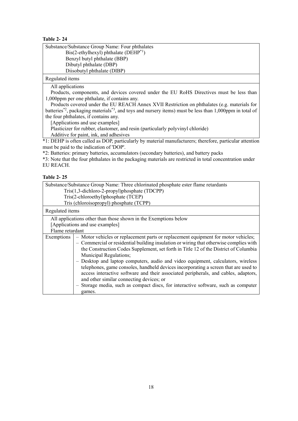<span id="page-19-0"></span>

Regulated items

All applications

Products, components, and devices covered under the EU RoHS Directives must be less than 1,000ppm per one phthalate, if contains any.

Products covered under the EU REACH Annex XVII Restriction on phthalates (e.g. materials for batteries<sup>\*2</sup>, packaging materials<sup>\*3</sup>, and toys and nursery items) must be less than 1,000ppm in total of the four phthalates, if contains any.

[Applications and use examples]

Plasticizer for rubber, elastomer, and resin (particularly polyvinyl chloride)

Additive for paint, ink, and adhesives

\*1: DEHP is often called as DOP, particularly by material manufacturers; therefore, particular attention must be paid to the indication of 'DOP'.

\*2: Batteries: primary batteries, accumulators (secondary batteries), and battery packs

\*3: Note that the four phthalates in the packaging materials are restricted in total concentration under EU REACH.

## <span id="page-19-1"></span>**Table 2- 25**

<span id="page-19-2"></span>

| Substance/Substance Group Name: Three chlorinated phosphate ester flame retardants |                                                                                                                                                                                                                                                                                                                                                                                                                                                                                                                                                                                                                                                                                                              |  |  |  |
|------------------------------------------------------------------------------------|--------------------------------------------------------------------------------------------------------------------------------------------------------------------------------------------------------------------------------------------------------------------------------------------------------------------------------------------------------------------------------------------------------------------------------------------------------------------------------------------------------------------------------------------------------------------------------------------------------------------------------------------------------------------------------------------------------------|--|--|--|
| Tris(1,3-dichloro-2-propyl)phosphate (TDCPP)                                       |                                                                                                                                                                                                                                                                                                                                                                                                                                                                                                                                                                                                                                                                                                              |  |  |  |
|                                                                                    | Tris(2-chloroethyl)phosphate (TCEP)                                                                                                                                                                                                                                                                                                                                                                                                                                                                                                                                                                                                                                                                          |  |  |  |
|                                                                                    | Tris (chloroisopropyl) phosphate (TCPP)                                                                                                                                                                                                                                                                                                                                                                                                                                                                                                                                                                                                                                                                      |  |  |  |
| Regulated items                                                                    |                                                                                                                                                                                                                                                                                                                                                                                                                                                                                                                                                                                                                                                                                                              |  |  |  |
|                                                                                    | All applications other than those shown in the Exemptions below                                                                                                                                                                                                                                                                                                                                                                                                                                                                                                                                                                                                                                              |  |  |  |
|                                                                                    | [Applications and use examples]                                                                                                                                                                                                                                                                                                                                                                                                                                                                                                                                                                                                                                                                              |  |  |  |
| Flame retardant                                                                    |                                                                                                                                                                                                                                                                                                                                                                                                                                                                                                                                                                                                                                                                                                              |  |  |  |
| Exemptions                                                                         | - Motor vehicles or replacement parts or replacement equipment for motor vehicles;<br>- Commercial or residential building insulation or wiring that otherwise complies with<br>the Construction Codes Supplement, set forth in Title 12 of the District of Columbia<br>Municipal Regulations;<br>- Desktop and laptop computers, audio and video equipment, calculators, wireless<br>telephones, game consoles, handheld devices incorporating a screen that are used to<br>access interactive software and their associated peripherals, and cables, adaptors,<br>and other similar connecting devices; or<br>- Storage media, such as compact discs, for interactive software, such as computer<br>games. |  |  |  |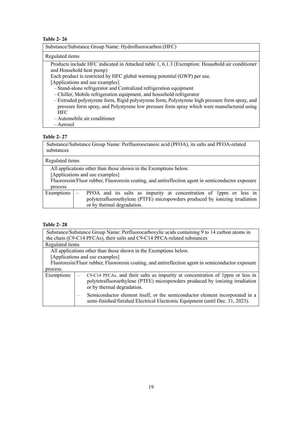| Substance/Substance Group Name: Hydrofluorocarbon (HFC) |  |  |
|---------------------------------------------------------|--|--|
|                                                         |  |  |

## Regulated items

Products include HFC indicated i[n Attached table 1,](#page-21-0) 6.1.3 (Exemption: Household air conditioner and Household heat pump)

Each product is restricted by HFC global warming potential (GWP) per use.

[Applications and use examples]

– Stand-alone refrigerator and Centralized refrigeration equipment

– Chiller, Mobile refrigeration equipment, and household refrigerator

- Extruded polystyrene form, Rigid polystyrene form, Polystyrene high pressure form spray, and pressure form spray, and Polystyrene low pressure form spray which were manufactured using **HFC**
- Automobile air conditioner
- Aerosol

## <span id="page-20-0"></span>**Table 2- 27**

Substance/Substance Group Name: Perfluorooctanoic acid (PFOA), its salts and PFOA-related substances

| Regulated items                                                                                   |                                                                                                                                                                                  |  |  |  |  |
|---------------------------------------------------------------------------------------------------|----------------------------------------------------------------------------------------------------------------------------------------------------------------------------------|--|--|--|--|
|                                                                                                   | All applications other than those shown in the Exemptions below.                                                                                                                 |  |  |  |  |
|                                                                                                   | [Applications and use examples]                                                                                                                                                  |  |  |  |  |
| Fluororesin/Fluor rubber, Fluororesin coating, and antireflection agent in semiconductor exposure |                                                                                                                                                                                  |  |  |  |  |
| process                                                                                           |                                                                                                                                                                                  |  |  |  |  |
| Exemptions                                                                                        | PFOA and its salts as impurity at concentration of 1ppm or less in<br>polytetrafluoroethylene (PTFE) micropowders produced by ionizing irradiation<br>or by thermal degradation. |  |  |  |  |

## <span id="page-20-1"></span>**Table 2- 28**

| Substance/Substance Group Name: Perfluorocarboxylic acids containing 9 to 14 carbon atoms in |                                                                                                                                                                                             |  |  |  |
|----------------------------------------------------------------------------------------------|---------------------------------------------------------------------------------------------------------------------------------------------------------------------------------------------|--|--|--|
| the chain (C9-C14 PFCAs), their salts and C9-C14 PFCA-related substances                     |                                                                                                                                                                                             |  |  |  |
| Regulated items                                                                              |                                                                                                                                                                                             |  |  |  |
| All applications other than those shown in the Exemptions below.                             |                                                                                                                                                                                             |  |  |  |
|                                                                                              | [Applications and use examples]                                                                                                                                                             |  |  |  |
|                                                                                              | Fluororesin/Fluor rubber, Fluororesin coating, and antireflection agent in semiconductor exposure                                                                                           |  |  |  |
| process.                                                                                     |                                                                                                                                                                                             |  |  |  |
| Exemptions                                                                                   | C9-C14 PFCAs, and their salts as impurity at concentration of 1ppm or less in<br>polytetrafluoroethylene (PTFE) micropowders produced by ionizing irradiation<br>or by thermal degradation. |  |  |  |
|                                                                                              | Semiconductor element itself, or the semiconductor element incorporated in a<br>semi-finished/finished Electrical Electronic Equipment (until Dec. 31, 2023).                               |  |  |  |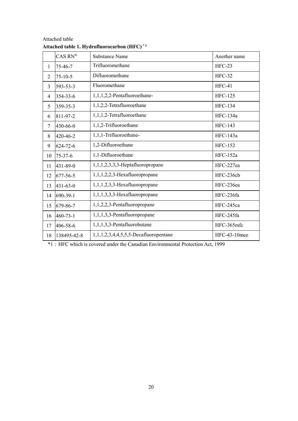|                | $CAS RN^®$                  | <b>Substance Name</b>                 | Another name   |
|----------------|-----------------------------|---------------------------------------|----------------|
| 1              | Trifluoromethane<br>75-46-7 |                                       | $HFC-23$       |
| $\overline{2}$ | $75 - 10 - 5$               | Difluoromethane                       | <b>HFC-32</b>  |
| 3              | 593-53-3                    | Fluoromethane                         | $HFC-41$       |
| 354-33-6<br>4  |                             | 1,1,1,2,2-Pentafluoroethane-          | <b>HFC-125</b> |
| 5              | 359-35-3                    | 1,1,2,2-Tetrafluoroethane             | <b>HFC-134</b> |
| 6              | 811-97-2                    | 1,1,1,2-Tetrafluoroethane             | HFC-134a       |
| $\overline{7}$ | 430-66-0                    | 1,1,2-Trifluoroethane                 | <b>HFC-143</b> |
| 8              | 420-46-2                    | 1,1,1-Trifluoroethane-                | HFC-143a       |
| 9              | 624-72-6                    | 1,2-Difluoroethane                    | <b>HFC-152</b> |
| 10             | $75 - 37 - 6$               | 1,1-Difluoroethane                    | HFC-152a       |
| 11             | 431-89-0                    | $1,1,1,2,3,3,3$ -Heptafluoropropane   | HFC-227ea      |
| 12             | 677-56-5                    | 1,1,1,2,2,3-Hexafluoropropane         | HFC-236cb      |
| 13             | $431 - 63 - 0$              | 1,1,1,2,3,3-Hexafluoropropane         | HFC-236ea      |
| 14             | 690-39-1                    | 1,1,1,3,3,3-Hexafluoropropane         | HFC-236fa      |
| 15             | 679-86-7                    | 1,1,2,2,3-Pentafluoropropane          | HFC-245ca      |
| 16             | $460 - 73 - 1$              | 1,1,1,3,3-Pentafluoropropane          | HFC-245fa      |
| 17             | 406-58-6                    | 1,1,1,3,3-Pentafluorobutane           | HFC-365mfc     |
| 18             | 138495-42-8                 | 1,1,1,2,3,4,4,5,5,5-Decafluoropentane | HFC-43-10mee   |

<span id="page-21-0"></span>

\*1:HFC which is covered under the Canadian Environmental Protection Act, 1999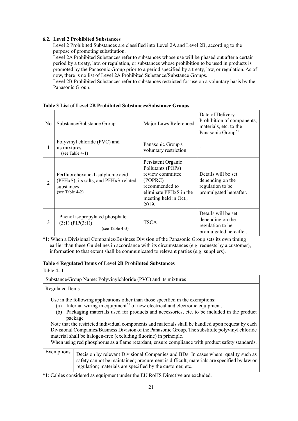## <span id="page-22-0"></span>**6.2. Level 2 Prohibited Substances**

Level 2 Prohibited Substances are classified into Level 2A and Level 2B, according to the purpose of promoting substitution.

Level 2A Prohibited Substances refer to substances whose use will be phased out after a certain period by a treaty, law, or regulation, or substances whose prohibition to be used in products is promoted by the Panasonic Group prior to a period specified by a treaty, law, or regulation. As of now, there is no list of Level 2A Prohibited Substance/Substance Groups.

Level 2B Prohibited Substances refer to substances restricted for use on a voluntary basis by the Panasonic Group.

| No | Substance/Substance Group                                                                                  | Major Laws Referenced                                                                                                                                             | Date of Delivery<br>Prohibition of components,<br>materials, etc. to the<br>Panasonic Group <sup>*1</sup> |
|----|------------------------------------------------------------------------------------------------------------|-------------------------------------------------------------------------------------------------------------------------------------------------------------------|-----------------------------------------------------------------------------------------------------------|
|    | Polyvinyl chloride (PVC) and<br>its mixtures<br>(see Table $4-1$ )                                         | Panasonic Group's<br>voluntary restriction                                                                                                                        | -                                                                                                         |
| 2  | Perfluorohexane-1-sulphonic acid<br>(PFHxS), its salts, and PFHxS-related<br>substances<br>(see Table 4-2) | Persistent Organic<br>Pollutants (POPs)<br>review committee<br>(POPRC)<br>recommended to<br>eliminate PFH <sub>x</sub> S in the<br>meeting held in Oct.,<br>2019. | Details will be set<br>depending on the<br>regulation to be<br>promulgated hereafter.                     |
| 3  | Phenol isopropylated phosphate<br>$(3:1)$ (PIP $(3:1)$ )<br>(see Table $4-3$ )                             | <b>TSCA</b>                                                                                                                                                       | Details will be set<br>depending on the<br>regulation to be<br>promulgated hereafter.                     |

#### <span id="page-22-1"></span>**Table 3 List of Level 2B Prohibited Substances/Substance Groups**

\*1: When a Divisional Companies/Business Division of the Panasonic Group sets its own timing earlier than these Guidelines in accordance with its circumstances (e.g. requests by a customer), information to that extent shall be communicated to relevant parties (e.g. suppliers).

## <span id="page-22-2"></span>**Table 4 Regulated Items of Level 2B Prohibited Substances**

<span id="page-22-3"></span>Table 4- 1

|                        | Substance/Group Name: Polyvinylchloride (PVC) and its mixtures                                                                                                                                                                                                                                                                                                                                                                                                                                                                                                                                                                                                       |
|------------------------|----------------------------------------------------------------------------------------------------------------------------------------------------------------------------------------------------------------------------------------------------------------------------------------------------------------------------------------------------------------------------------------------------------------------------------------------------------------------------------------------------------------------------------------------------------------------------------------------------------------------------------------------------------------------|
| <b>Regulated Items</b> |                                                                                                                                                                                                                                                                                                                                                                                                                                                                                                                                                                                                                                                                      |
| (a)<br>(b)             | Use in the following applications other than those specified in the exemptions:<br>Internal wiring in equipment <sup>*1</sup> of new electrical and electronic equipment.<br>Packaging materials used for products and accessories, etc. to be included in the product<br>package<br>Note that the restricted individual components and materials shall be handled upon request by each<br>Divisional Companies/Business Division of the Panasonic Group. The substitute polyvinyl chloride<br>material shall be halogen-free (excluding fluorine) in principle.<br>When using red phosphorus as a flame retardant, ensure compliance with product safety standards. |
| Exemptions             | Decision by relevant Divisional Companies and BDs: In cases where: quality such as<br>safety cannot be maintained; procurement is difficult; materials are specified by law or<br>regulation; materials are specified by the customer, etc.                                                                                                                                                                                                                                                                                                                                                                                                                          |

\*1: Cables considered as equipment under the EU RoHS Directive are excluded.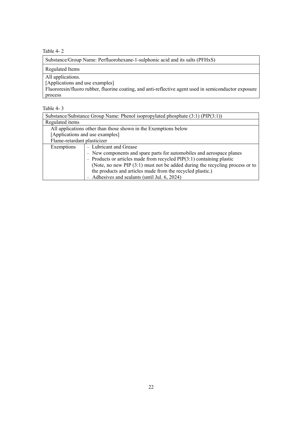<span id="page-23-0"></span>Table 4- 2

| Substance/Group Name: Perfluorohexane-1-sulphonic acid and its salts (PFHxS)                          |
|-------------------------------------------------------------------------------------------------------|
| <b>Regulated Items</b>                                                                                |
| All applications.                                                                                     |
| [Applications and use examples]                                                                       |
| Fluororesin/fluoro rubber, fluorine coating, and anti-reflective agent used in semiconductor exposure |
| process                                                                                               |

<span id="page-23-1"></span>

| Table |  |  |
|-------|--|--|
|-------|--|--|

| Substance/Substance Group Name: Phenol isopropylated phosphate (3:1) (PIP(3:1)) |                                                                       |  |  |
|---------------------------------------------------------------------------------|-----------------------------------------------------------------------|--|--|
| Regulated items                                                                 |                                                                       |  |  |
|                                                                                 | All applications other than those shown in the Exemptions below       |  |  |
| [Applications and use examples]                                                 |                                                                       |  |  |
|                                                                                 | Flame-retardant plasticizer                                           |  |  |
| Exemptions                                                                      | - Lubricant and Grease                                                |  |  |
|                                                                                 | - New components and spare parts for automobiles and aerospace planes |  |  |
| - Products or articles made from recycled $PIP(3:1)$ containing plastic         |                                                                       |  |  |
| (Note, no new PIP $(3:1)$ must not be added during the recycling process or to  |                                                                       |  |  |
| the products and articles made from the recycled plastic.)                      |                                                                       |  |  |
| $-$ Adhesives and sealants (until Jul. 6, 2024)                                 |                                                                       |  |  |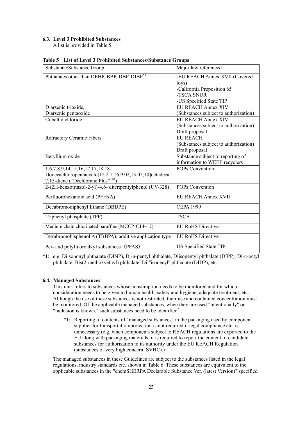#### <span id="page-24-0"></span>**6.3. Level 3 Prohibited Substances**

A list is provided in Table 5.

| Substance/Substance Group                                 | Major law referenced                  |
|-----------------------------------------------------------|---------------------------------------|
| Phthalates other than DEHP, BBP, DBP, DIBP*1              | -EU REACH Annex XVII (Covered         |
|                                                           | toys)                                 |
|                                                           | -California Proposition 65            |
|                                                           | -TSCA SNUR                            |
|                                                           | -US Specified State TIP               |
| Diarsenic trioxide,                                       | <b>EU REACH Annex XIV</b>             |
| Diarsenic pentaoxide                                      | (Substances subject to authorization) |
| Cobalt dichloride                                         | <b>EU REACH Annex XIV</b>             |
|                                                           | (Substances subject to authorization) |
|                                                           | Draft proposal                        |
| Refractory Ceramic Fibers                                 | <b>EU REACH</b>                       |
|                                                           | (Substances subject to authorization) |
|                                                           | Draft proposal                        |
| Beryllium oxide                                           | Substance subject to reporting of     |
|                                                           | information to WEEE recyclers         |
| 1,6,7,8,9,14,15,16,17,17,18,18-                           | POPs Convention                       |
| Dodecachloropentacyclo[12.2.1.16,9.02,13.05,10]octadeca-  |                                       |
| 7,15-diene ("Dechlorane Plus"TM)                          |                                       |
| 2-(2H-benzotriazol-2-yl)-4,6- ditertpentylphenol (UV-328) | POPs Convention                       |
| Perfluorohexanoic acid (PFHxA)                            | <b>EU REACH Annex XVII</b>            |
| Decabromodiphenyl Ethane (DBDPE)                          | <b>CEPA 1999</b>                      |
| Triphenyl phosphate (TPP)                                 | <b>TSCA</b>                           |
| Medium chain chlorinated paraffins (MCCP, C14-17)         | <b>EU RoHS Directive</b>              |
| Tetrabromobisphenol A (TBBPA); additive application type  | <b>EU RoHS Directive</b>              |
| Per- and polyfluoroalkyl substances (PFAS)                | US Specified State TIP                |

#### <span id="page-24-2"></span>**Table 5 List of Level 3 Prohibited Substances/Substance Groups**

\*1: e.g. Diisononyl phthalate (DINP), Di-n-pentyl phthalate, Diisopentyl phthalate (DIPP), Di-n-octyl phthalate, Bis(2-methoxyethyl) phthalate, Di-''isodecyl'' phthalate (DIDP), etc.

#### <span id="page-24-1"></span>**6.4. Managed Substances**

This rank refers to substances whose consumption needs to be monitored and for which consideration needs to be given to human health, safety and hygiene, adequate treatment, etc. Although the use of these substances is not restricted, their use and contained concentration must be monitored. Of the applicable managed substances, when they are used "intentionally" or "inclusion is known," such substances need to be identified<sup>\*1</sup>.

\*1: Reporting of contents of "managed substances" in the packaging used by component supplier for transportation/protection is not required if legal compliance etc. is unnecessary (e.g. when components subject to REACH regulations are exported to the EU along with packaging materials, it is required to report the content of candidate substances for authorization to its authority under the EU REACH Regulation (substances of very high concern; SVHC).)

The managed substances in these Guidelines are subject to the substances listed in the legal regulations, industry standards etc. shown in Table 6. These substances are equivalent to the applicable substances in the "chemSHERPA Declarable Substance Ver. (latest Version)" specified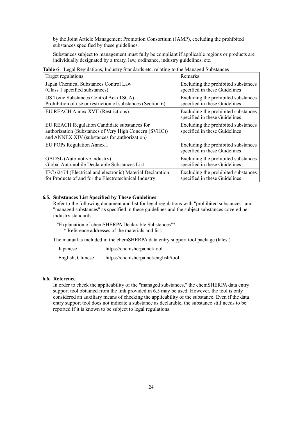by the Joint Article Management Promotion Consortium (JAMP), excluding the prohibited substances specified by these guidelines.

Substances subject to management must fully be compliant if applicable regions or products are individually designated by a treaty, law, ordinance, industry guidelines, etc.

| Target regulations                                                                                                                                     | Remarks                                                              |
|--------------------------------------------------------------------------------------------------------------------------------------------------------|----------------------------------------------------------------------|
| Japan Chemical Substances Control Law                                                                                                                  | Excluding the prohibited substances                                  |
| (Class 1 specified substances)                                                                                                                         | specified in these Guidelines                                        |
| US Toxic Substances Control Act (TSCA)                                                                                                                 | Excluding the prohibited substances                                  |
| Prohibition of use or restriction of substances (Section 6)                                                                                            | specified in these Guidelines                                        |
| EU REACH Annex XVII (Restrictions)                                                                                                                     | Excluding the prohibited substances<br>specified in these Guidelines |
| EU REACH Regulation Candidate substances for<br>authorization (Substances of Very High Concern (SVHC))<br>and ANNEX XIV (substances for authorization) | Excluding the prohibited substances<br>specified in these Guidelines |
| EU POPs Regulation Annex I                                                                                                                             | Excluding the prohibited substances<br>specified in these Guidelines |
| GADSL (Automotive industry)                                                                                                                            | Excluding the prohibited substances                                  |
| Global Automobile Declarable Substances List                                                                                                           | specified in these Guidelines                                        |
| IEC 62474 (Electrical and electronic) Material Declaration                                                                                             | Excluding the prohibited substances                                  |
| for Products of and for the Electrotechnical Industry                                                                                                  | specified in these Guidelines                                        |

<span id="page-25-2"></span>**Table 6** Legal Regulations, Industry Standards etc. relating to the Managed Substances

#### <span id="page-25-0"></span>**6.5. Substances List Specified by These Guidelines**

Refer to the following document and list for legal regulations with "prohibited substances" and "managed substances" as specified in these guidelines and the subject substances covered per industry standards.

– "Explanation of chemSHERPA Declarable Substances"\* \* Reference addresses of the materials and list:

The manual is included in the chemSHERPA data entry support tool package (latest)

| Japanese         | https://chemsherpa.net/tool         |
|------------------|-------------------------------------|
| English, Chinese | https://chemsherpa.net/english/tool |

#### <span id="page-25-1"></span>**6.6. Reference**

In order to check the applicability of the "managed substances," the chemSHERPA data entry support tool obtained from the link provided in 6.5 may be used. However, the tool is only considered an auxiliary means of checking the applicability of the substance. Even if the data entry support tool does not indicate a substance as declarable, the substance still needs to be reported if it is known to be subject to legal regulations.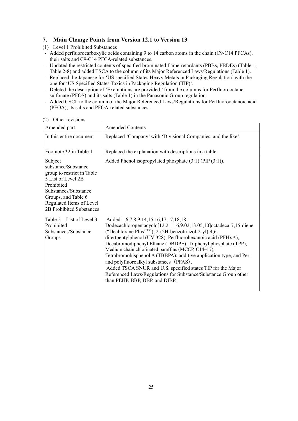## <span id="page-26-0"></span>**7. Main Change Points from Version 12.1 to Version 13**

- (1) Level 1 Prohibited Substances
- Added perfluorocarboxylic acids containing 9 to 14 carbon atoms in the chain (C9-C14 PFCAs), their salts and C9-C14 PFCA-related substances.
- Updated the restricted contents of specified brominated flame-retardants (PBBs, PBDEs) (Table 1, Table 2-8) and added TSCA to the column of its Major Referenced Laws/Regulations (Table 1).
- Replaced the Japanese for 'US specified States Heavy Metals in Packaging Regulation' with the one for 'US Specified States Toxics in Packaging Regulation (TIP)'.
- Deleted the description of 'Exemptions are provided.' from the columns for Perfluorooctane sulfonate (PFOS) and its salts (Table 1) in the Panasonic Group regulation.
- Added CSCL to the column of the Major Referenced Laws/Regulations for Perfluorooctanoic acid (PFOA), its salts and PFOA-related substances.

| Amended part                                                                                                                                                                                            | <b>Amended Contents</b>                                                                                                                                                                                                                                                                                                                                                                                                                                                                                                                                                                                                                                                            |
|---------------------------------------------------------------------------------------------------------------------------------------------------------------------------------------------------------|------------------------------------------------------------------------------------------------------------------------------------------------------------------------------------------------------------------------------------------------------------------------------------------------------------------------------------------------------------------------------------------------------------------------------------------------------------------------------------------------------------------------------------------------------------------------------------------------------------------------------------------------------------------------------------|
| In this entire document                                                                                                                                                                                 | Replaced 'Company' with 'Divisional Companies, and the like'.                                                                                                                                                                                                                                                                                                                                                                                                                                                                                                                                                                                                                      |
| Footnote *2 in Table 1                                                                                                                                                                                  | Replaced the explanation with descriptions in a table.                                                                                                                                                                                                                                                                                                                                                                                                                                                                                                                                                                                                                             |
| Subject<br>substance/Substance<br>group to restrict in Table<br>5 List of Level 2B<br>Prohibited<br>Substances/Substance<br>Groups, and Table 6<br>Regulated Items of Level<br>2B Prohibited Substances | Added Phenol isopropylated phosphate $(3:1)$ (PIP $(3:1)$ ).                                                                                                                                                                                                                                                                                                                                                                                                                                                                                                                                                                                                                       |
| Table 5 List of Level 3<br>Prohibited<br>Substances/Substance<br>Groups                                                                                                                                 | Added 1, 6, 7, 8, 9, 14, 15, 16, 17, 17, 18, 18-<br>Dodecachloropentacyclo <sup>[12.2.1.16,9.02,13.05,10]</sup> octadeca-7,15-diene<br>("Dechlorane Plus" <sup>TM</sup> ), 2-(2H-benzotriazol-2-yl)-4,6-<br>ditertpentylphenol (UV-328), Perfluorohexanoic acid (PFHxA),<br>Decabromodiphenyl Ethane (DBDPE), Triphenyl phosphate (TPP),<br>Medium chain chlorinated paraffins (MCCP, C14-17),<br>Tetrabromobisphenol A (TBBPA); additive application type, and Per-<br>and polyfluoroalkyl substances (PFAS).<br>Added TSCA SNUR and U.S. specified states TIP for the Major<br>Referenced Laws/Regulations for Substance/Substance Group other<br>than PEHP, BBP, DBP, and DIBP. |

## (2) Other revisions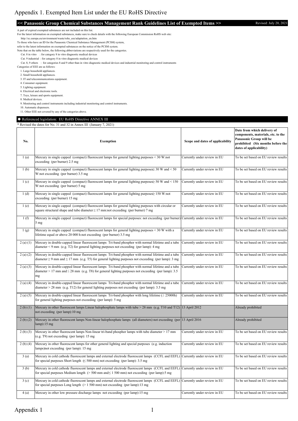## <span id="page-27-0"></span><< Panasonic Group Chemical Substances Management Rank Guidelines List of Exempted Items >> Revised: July 20, 2021

A part of expired exempted substances are not included on this list.

For the latest information on exempted substances, make sure to check details with the following European Commission RoHS web site:

http://ec.europa.eu/environment/waste/rohs\_eee/adaptation\_en.htm

To those who have an ID for the Panasonic Chemical Substance Management (PCSM) system,

refer to the latest information on exempted substances on the notice of the PCSM system.

Note that on the table below, the following abbreviations are respectively used for the categories.

Cat. 8 in vitro : for category 8 in vitro diagnostic medical devices

Cat. 9 industrial : for category 8 in vitro diagnostic medical devices

Cat. 8, 9 others : for categories 8 and 9 other than in vitro diagnostic medical devices and industrial monitoring and control instruments

Categories of EEE are as follows:

1. Large household appliances.

2. Small household appliances.

3. IT and telecommunications equipment.

4. Consumer equipment. 5. Lighting equipment.

6. Electrical and electronic tools.

7. Toys, leisure and sports equipment.

8. Medical devices.

9. Monitoring and control instruments including industrial monitoring and control instruments.

10. Automatic dispensers.

11. Other EEE not covered by any of the categories above.

#### ◆ Referenced legislation: EU RoHS Directive ANNEX III

\* Revised the dates for No. 31 and 32 in Annex III (January 7, 2021)

| No.      | <b>Exemption</b>                                                                                                                                                                                                                      | Scope and dates of applicability | Date from which delivery of<br>components, materials, etc. to the<br>Panasonic Group will be<br>prohibited (Six months before the<br>dates of applicability) |
|----------|---------------------------------------------------------------------------------------------------------------------------------------------------------------------------------------------------------------------------------------|----------------------------------|--------------------------------------------------------------------------------------------------------------------------------------------------------------|
| 1(a)     | Mercury in single capped (compact) fluorescent lamps for general lighting purposes < 30 W:not<br>exceeding (per burner) 2.5 mg                                                                                                        | Currently under review in EU     | To be set based on EU review results                                                                                                                         |
| 1(b)     | Mercury in single capped (compact) fluorescent lamps for general lighting purposes 20 W and < 50<br>W:not exceeding (per burner) 3.5 mg                                                                                               | Currently under review in EU     | To be set based on EU review results                                                                                                                         |
| 1(c)     | Mercury in single capped (compact) fluorescent lamps for general lighting purposes≥ 50 W and < 150<br>W:not exceeding (per burner) 5 mg                                                                                               | Currently under review in EU     | To be set based on EU review results                                                                                                                         |
| 1(d)     | Mercury in single capped (compact) fluorescent lamps for general lighting purposes 150 W:not<br>exceeding (per burner) 15 mg                                                                                                          | Currently under review in EU     | To be set based on EU review results                                                                                                                         |
| 1(e)     | Mercury in single capped (compact) fluorescent lamps for general lighting purposes with circular or<br>square structural shape and tube diameter $\leq 17$ mm:not exceeding (per burner) 7 mg                                         | Currently under review in EU     | To be set based on EU review results                                                                                                                         |
| 1(f)     | Mercury in single capped (compact) fluorescent lamps for special purposes: not exceeding (per burner) Currently under review in EU<br>5 <sub>mg</sub>                                                                                 |                                  | To be set based on EU review results                                                                                                                         |
| 1(g)     | Mercury in single capped (compact) fluorescent lamps for general lighting purposes < 30 W with a<br>lifetime equal or above 20 000 h:not exceeding (per burner) 3.5 mg                                                                | Currently under review in EU     | To be set based on EU review results                                                                                                                         |
| 2(a) (1) | Mercury in double-capped linear fluorescent lamps Tri-band phosphor with normal lifetime and a tube<br>diameter $\leq$ 9 mm (e.g. T2) for general lighting purposes not exceeding (per lamp): 4 mg                                    | Currently under review in EU     | To be set based on EU review results                                                                                                                         |
| 2(a) (2) | Mercury in double-capped linear fluorescent lamps Tri-band phosphor with normal lifetime and a tube<br>diameter $\geq 9$ mm and $\leq 17$ mm (e.g. T5) for general lighting purposes not exceeding (per lamp): 3 mg                   | Currently under review in EU     | To be set based on EU review results                                                                                                                         |
| 2(a) (3) | Mercury in double-capped linear fluorescent lamps Tri-band phosphor with normal lifetime and a tube<br>diameter > 17 mm and $\leq$ 28 mm (e.g. T8) for general lighting purposes not exceeding (per lamp): 3.5<br>mg                  | Currently under review in EU     | To be set based on EU review results                                                                                                                         |
| 2(a) (4) | Mercury in double-capped linear fluorescent lamps Tri-band phosphor with normal lifetime and a tube<br>diameter $> 28$ mm (e.g. T12) for general lighting purposes not exceeding (per lamp): 3.5 mg                                   | Currently under review in EU     | To be set based on EU review results                                                                                                                         |
| 2(a) (5) | Mercury in double-capped linear fluorescent lamps Tri-band phosphor with long lifetime ( $\geq$ 25000h)<br>for general lighting purposes not exceeding (per lamp): 5 mg                                                               | Currently under review in EU     | To be set based on EU review results                                                                                                                         |
| 2(b)(1)  | Mercury in other fluorescent lamps Linear halophosphate lamps with tube > 28 mm (e.g. T10 and T12) 13 April 2012<br>not exceeding (per lamp):10 mg                                                                                    |                                  | Already prohibited                                                                                                                                           |
| 2(b)(2)  | Mercury in other fluorescent lamps Non-linear halophosphate lamps (all diameters) not exceeding (per 13 April 2016<br>$lamp$ :15 mg                                                                                                   |                                  | Already prohibited                                                                                                                                           |
| 2(b)(3)  | Mercury in other fluorescent lamps Non-linear tri-band phosphor lamps with tube diameter > 17 mm<br>(e.g. T9) not exceeding (per lamp): 15 mg                                                                                         | Currently under review in EU     | To be set based on EU review results                                                                                                                         |
| 2(b)(4)  | Mercury in other fluorescent lamps for other general lighting and special purposes (e.g. induction<br>lamps) not exceeding (per lamp): 15 mg                                                                                          | Currently under review in EU     | To be set based on EU review results                                                                                                                         |
| 3(a)     | Mercury in cold cathode fluorescent lamps and external electrode fluorescent lamps (CCFL and EEFL) Currently under review in EU<br>for special purposes Short length $\leq 500$ mm) not exceeding (per lamp): 3.5 mg                  |                                  | To be set based on EU review results                                                                                                                         |
| 3(b)     | Mercury in cold cathode fluorescent lamps and external electrode fluorescent lamps (CCFL and EEFL) Currently under review in EU<br>for special purposes Medium length ( $> 500$ mm and $\leq 1500$ mm) not exceeding (per lamp): 5 mg |                                  | To be set based on EU review results                                                                                                                         |
| 3(c)     | Mercury in cold cathode fluorescent lamps and external electrode fluorescent lamps (CCFL and EEFL) Currently under review in EU<br>for special purposes Long length $(> 1500 \text{ mm})$ not exceeding (per lamp):13 mg              |                                  | To be set based on EU review results                                                                                                                         |
| 4(a)     | Mercury in other low pressure discharge lamps not exceeding (per lamp):15 mg                                                                                                                                                          | Currently under review in EU     | To be set based on EU review results                                                                                                                         |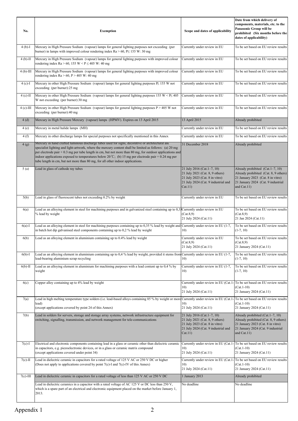| No.         | <b>Exemption</b>                                                                                                                                                                                                                                                                                                                                                                                                                                                                                                 | Scope and dates of applicability                                                                                                                   | Date from which delivery of<br>components, materials, etc. to the<br>Panasonic Group will be<br>prohibited (Six months before the<br>dates of applicability)          |
|-------------|------------------------------------------------------------------------------------------------------------------------------------------------------------------------------------------------------------------------------------------------------------------------------------------------------------------------------------------------------------------------------------------------------------------------------------------------------------------------------------------------------------------|----------------------------------------------------------------------------------------------------------------------------------------------------|-----------------------------------------------------------------------------------------------------------------------------------------------------------------------|
| $4(b)-I$    | Mercury in High Pressure Sodium (vapour) lamps for general lighting purposes not exceeding (per<br>burner) in lamps with improved colour rendering index $Ra > 60$ , $P \le 155$ W: 30 mg                                                                                                                                                                                                                                                                                                                        | Currently under review in EU                                                                                                                       | To be set based on EU review results                                                                                                                                  |
| $4(b)$ -II  | Mercury in High Pressure Sodium (vapour) lamps for general lighting purposes with improved colour<br>rendering index $Ra > 60$ , 155 W < $P \le 405$ W: 40 mg                                                                                                                                                                                                                                                                                                                                                    | Currently under review in EU                                                                                                                       | To be set based on EU review results                                                                                                                                  |
| $4(b)$ -III | Mercury in High Pressure Sodium (vapour) lamps for general lighting purposes with improved colour<br>rendering index $Ra > 60$ , $P > 405$ W: 40 mg                                                                                                                                                                                                                                                                                                                                                              | Currently under review in EU                                                                                                                       | To be set based on EU review results                                                                                                                                  |
| $4(c)$ -I   | Mercury in other High Pressure Sodium (vapour) lamps for general lighting purposes $E \le 155$ W not<br>exceeding (per burner):25 mg                                                                                                                                                                                                                                                                                                                                                                             | Currently under review in EU                                                                                                                       | To be set based on EU review results                                                                                                                                  |
| $4(c)$ -II  | Mercury in other High Pressure Sodium (vapour) lamps for general lighting purposes 155 W < $P\leq 405$<br>W not exceeding (per burner):30 mg                                                                                                                                                                                                                                                                                                                                                                     | Currently under review in EU                                                                                                                       | To be set based on EU review results                                                                                                                                  |
| $4(c)$ -III | Mercury in other High Pressure Sodium (vapour) lamps for general lighting purposes P > 405 W not<br>exceeding (per burner):40 mg                                                                                                                                                                                                                                                                                                                                                                                 | Currently under review in EU                                                                                                                       | To be set based on EU review results                                                                                                                                  |
| 4(d)        | Mercury in High Pressure Mercury (vapour) lamps (HPMV). Expires on 13 April 2015                                                                                                                                                                                                                                                                                                                                                                                                                                 | 13 April 2015                                                                                                                                      | Already prohibited                                                                                                                                                    |
| 4(e)        | Mercury in metal halide lamps (MH)                                                                                                                                                                                                                                                                                                                                                                                                                                                                               | Currently under review in EU                                                                                                                       | To be set based on EU review results                                                                                                                                  |
| 4(f)        | Mercury in other discharge lamps for special purposes not specifically mentioned in this Annex                                                                                                                                                                                                                                                                                                                                                                                                                   | Currently under review in EU                                                                                                                       | To be set based on EU review results                                                                                                                                  |
| 4(g)        | Mercury in hand crafted luminous discharge tubes used for signs, decorative or architectural and<br>specialist lighting and light-artwork, where the mercury content shall be limited as follows: (a) 20 mg<br>per electrode pair + 0.3 mg per tube length in cm, but not more than 80 mg, for outdoor applications and<br>indoor applications exposed to temperatures below 20 °C; (b) 15 mg per electrode pair + 0.24 mg per<br>tube length in cm, but not more than 80 mg, for all other indoor applications. | 31 December 2018                                                                                                                                   | Already prohibited                                                                                                                                                    |
| 5(a)        | Lead in glass of cathode ray tubes                                                                                                                                                                                                                                                                                                                                                                                                                                                                               | 21 July 2016 (Cat.1-7, 10)<br>21 July 2021 (Cat. 8, 9 others)<br>21 July 2023 (Cat. 8 in vitro)<br>21 July 2024 (Cat. 9 industrial and<br>Cat.11)  | Already prohibited $(Cat.1-7, 10)$<br>Already prohibited (Cat. 8, 9 others)<br>21 January 2023 (Cat. 8 in vitro)<br>21 January 2024 (Cat. 9 industrial<br>and Cat.11) |
| 5(b)        | Lead in glass of fluorescent tubes not exceeding 0.2% by weight                                                                                                                                                                                                                                                                                                                                                                                                                                                  | Currently under review in EU                                                                                                                       | To be set based on EU review results                                                                                                                                  |
| 6(a)        | Lead as an alloying element in steel for machining purposes and in galvanized steel containing up to 0,35 Currently under review in EU<br>% lead by weight                                                                                                                                                                                                                                                                                                                                                       | (Cat.8,9)<br>21 July 2024 (Cat.11)                                                                                                                 | To be set based on EU review results<br>(Cat.8,9)<br>21 Jan 2024 (Cat.11)                                                                                             |
| $6(a)$ -I   | Lead as an alloying element in steel for machining purposes containing up to 0,35 % lead by weight and Currently under review in EU (1-7,<br>in batch hot dip galvanised steel components containing up to 0,2 % lead by weight                                                                                                                                                                                                                                                                                  | 10)                                                                                                                                                | To be set based on EU review results<br>$(1-7, 10)$                                                                                                                   |
| 6(b)        | Lead as an alloying element in aluminium containing up to 0.4% lead by weight                                                                                                                                                                                                                                                                                                                                                                                                                                    | Currently under review in EU<br>(Cat.8,9)<br>21 July 2024 (Cat.11)                                                                                 | To be set based on EU review results<br>(Cat.8,9)<br>21 January 2024 (Cat.11)                                                                                         |
| $6(b)-I$    | Lead as an alloying element in aluminium containing up to 0,4 % lead by weight, provided it stems from Currently under review in EU (1-7,<br>lead-bearing aluminium scrap recycling                                                                                                                                                                                                                                                                                                                              | 10)                                                                                                                                                | To be set based on EU review results<br>$(1-7, 10)$                                                                                                                   |
| $6(b)$ -II  | Lead as an alloying element in aluminium for machining purposes with a lead content up to 0,4 % by<br>weight                                                                                                                                                                                                                                                                                                                                                                                                     | Currently under review in EU (1-7,<br>10)                                                                                                          | To be set based on EU review results<br>$(1-7, 10)$                                                                                                                   |
| 6(c)        | Copper alloy containing up to 4% lead by weight                                                                                                                                                                                                                                                                                                                                                                                                                                                                  | 10)<br>21 July 2024 (Cat.11)                                                                                                                       | Currently under review in EU (Cat.1- To be set based on EU review results<br>$(Cat.1-10)$<br>21 January 2024 (Cat.11)                                                 |
| 7(a)        | Lead in high melting temperature type solders (i.e. lead-based alloys containing 85 % by weight or more Currently under review in EU (Cat.1-To be set based on EU review results<br>lead)<br>(except applications covered by point 24 of this Annex)                                                                                                                                                                                                                                                             | 10)<br>21 July 2024 (Cat.11)                                                                                                                       | $(Cat.1-10)$<br>21 January 2024 (Cat.11)                                                                                                                              |
| 7(b)        | Lead in solders for servers, storage and storage array systems, network infrastructure equipment for<br>switching, signalling, transmission, and network management for tele-communications                                                                                                                                                                                                                                                                                                                      | 21 July 2016 (Cat. 1-7, 10)<br>21 July 2021 (Cat. 8, 9 others)<br>21 July 2023 (Cat. 8 in vitro)<br>21 July 2024 (Cat. 9 industrial and<br>Cat.11) | Already prohibited (Cat.1-7, 10)<br>Already prohibited (Cat. 8, 9 others)<br>21 January 2023 (Cat. 8 in vitro)<br>21 January 2024 (Cat. 9 industrial<br>and Cat.11)   |
| $7(c)$ -I   | Electrical and electronic components containing lead in a glass or ceramic other than dielectric ceramic<br>in capacitors, e.g. piezoelectronic devices, or in a glass or ceramic matrix compound<br>(except applications covered under point 34)                                                                                                                                                                                                                                                                | 10)<br>21 July 2024 (Cat.11)                                                                                                                       | Currently under review in EU (Cat.1- To be set based on EU review results<br>$(Cat.1-10)$<br>21 January 2024 (Cat.11)                                                 |
| $7(c)$ -II  | Lead in dielectric ceramic in capacitors for a rated voltage of 125 V AC or 250 V DC or higher<br>(Does not apply to applications covered by point 7(c)-I and 7(c)-IV of this Annex)                                                                                                                                                                                                                                                                                                                             | Currently under review in EU (Cat.1<br>10)<br>21 July 2024 (Cat.11)                                                                                | To be set based on EU review results<br>$(Cat.1-10)$<br>21 January 2024 (Cat.11)                                                                                      |
| $7(c)$ -III | Lead in dielectric ceramic in capacitors for a rated voltage of less than 125 V AC or 250 V DC                                                                                                                                                                                                                                                                                                                                                                                                                   | 1 January 2013                                                                                                                                     | Already prohibited                                                                                                                                                    |
|             | Lead in dielectric ceramics in a capacitor with a rated voltage of AC 125 V or DC less than 250 V,<br>which is a spare part of an electrical and electronic equipment placed on the market before January 1,<br>2013.                                                                                                                                                                                                                                                                                            | No deadline                                                                                                                                        | No deadline                                                                                                                                                           |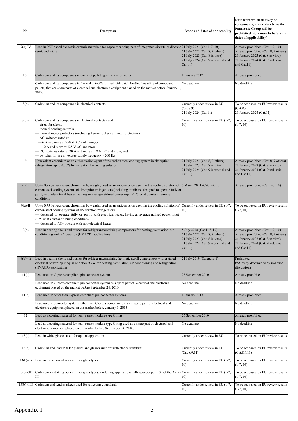| No.                                                                                                                                                                                                                                                                                                                                                                                 | <b>Exemption</b>                                                                                                                                                                                                                                                                                                                                                                                                                         | Scope and dates of applicability                                                                                                                 | Date from which delivery of<br>components, materials, etc. to the<br>Panasonic Group will be<br>prohibited (Six months before the<br>dates of applicability)         |  |
|-------------------------------------------------------------------------------------------------------------------------------------------------------------------------------------------------------------------------------------------------------------------------------------------------------------------------------------------------------------------------------------|------------------------------------------------------------------------------------------------------------------------------------------------------------------------------------------------------------------------------------------------------------------------------------------------------------------------------------------------------------------------------------------------------------------------------------------|--------------------------------------------------------------------------------------------------------------------------------------------------|----------------------------------------------------------------------------------------------------------------------------------------------------------------------|--|
| $7(c)$ -IV                                                                                                                                                                                                                                                                                                                                                                          | Lead in PZT based dielectric ceramic materials for capacitors being part of integrated circuits or discrete 21 July 2021 (Cat.1-7, 10)<br>semiconductors                                                                                                                                                                                                                                                                                 | 21 July 2021 (Cat. 8, 9 others)<br>21 July 2023 (Cat. 8 in vitro)<br>21 July 2024 (Cat. 9 industrial and<br>Cat.11)                              | Already prohibited (Cat. 1-7, 10)<br>Already prohibited (Cat. 8, 9 others)<br>21 January 2023 (Cat. 8 in vitro)<br>21 January 2024 (Cat. 9 industrial<br>and Cat.11) |  |
| 8(a)                                                                                                                                                                                                                                                                                                                                                                                | Cadmium and its compounds in one shot pellet type thermal cut-offs                                                                                                                                                                                                                                                                                                                                                                       | 1 January 2012                                                                                                                                   | Already prohibited                                                                                                                                                   |  |
|                                                                                                                                                                                                                                                                                                                                                                                     | Cadmium and its compounds in thermal cut-offs formed with batch loading kneading of compound<br>pellets, that are spare parts of electrical and electronic equipment placed on the market before January 1<br>2012.                                                                                                                                                                                                                      | No deadline                                                                                                                                      | No deadline                                                                                                                                                          |  |
| 8(b)                                                                                                                                                                                                                                                                                                                                                                                | Cadmium and its compounds in electrical contacts                                                                                                                                                                                                                                                                                                                                                                                         | Currently under review in EU<br>(Cat.8,9)<br>21 July 2024 (Cat.11)                                                                               | To be set based on EU review results<br>(Cat.8,9)<br>21 January 2024 (Cat.11)                                                                                        |  |
| $8(b)-I$                                                                                                                                                                                                                                                                                                                                                                            | Cadmium and its compounds in electrical contacts used in:<br>- circuit breakers,<br>- thermal sensing controls,<br>thermal motor protectors (excluding hermetic thermal motor protectors),<br>- AC switches rated at:<br>-6 A and more at 250 V AC and more, or<br>-12 A and more at 125 V AC and more,<br>- DC switches rated at 20 A and more at 18 V DC and more, and<br>- switches for use at voltage supply frequency $\geq 200$ Hz | Currently under review in EU (1-7,<br>10)                                                                                                        | To be set based on EU review results<br>$(1-7, 10)$                                                                                                                  |  |
| 9                                                                                                                                                                                                                                                                                                                                                                                   | Hexavalent chromium as an anticorrosion agent of the carbon steel cooling system in absorption<br>refrigerators up to 0.75% by weight in the cooling solution                                                                                                                                                                                                                                                                            | 21 July 2021 (Cat. 8, 9 others)<br>21 July 2023 (Cat. 8 in vitro)<br>21 July 2024 (Cat. 9 industrial and<br>Cat.11)                              | Already prohibited (Cat. 8, 9 others)<br>21 January 2023 (Cat. 8 in vitro)<br>21 January 2024 (Cat. 9 industrial<br>and Cat.11)                                      |  |
| Up to 0,75 % hexavalent chromium by weight, used as an anticorrosion agent in the cooling solution of<br>5 March 2021 (Cat. 1-7, 10)<br>$9(a)$ -I<br>carbon steel cooling systems of absorption refrigerators (including minibars) designed to operate fully or<br>partly with elec- trical heater, having an average utilised power input < 75 W at constant running<br>conditions |                                                                                                                                                                                                                                                                                                                                                                                                                                          | Already prohibited (Cat.1-7, 10)                                                                                                                 |                                                                                                                                                                      |  |
| $9(a)$ -II                                                                                                                                                                                                                                                                                                                                                                          | Up to 0,75 % hexavalent chromium by weight, used as an anticorrosion agent in the cooling solution of<br>carbon steel cooling systems of ab- sorption refrigerators:<br>- designed to operate fully or partly with electrical heater, having an average utilised power input<br>$\geq$ 75 W at constant running conditions,<br>- designed to fully operate with non-electrical heater.                                                   | Currently under review in EU (1-7,<br>10)                                                                                                        | To be set based on EU review results<br>$(1-7, 10)$                                                                                                                  |  |
| 9(b)                                                                                                                                                                                                                                                                                                                                                                                | Lead in bearing shells and bushes for refrigerant containing compressors for heating, ventilation, air<br>conditioning and refrigeration (HVACR) applications                                                                                                                                                                                                                                                                            | 5 July 2018 (Cat.1-7, 10)<br>21 July 2021 (Cat. 8, 9 others)<br>21 July 2023 (Cat. 8 in vitro)<br>21 July 2024 (Cat. 9 industrial and<br>Cat.11) | Already prohibited (Cat.1-7, 10)<br>Already prohibited (Cat. 8, 9 others)<br>21 January 2023 (Cat. 8 in vitro)<br>21 January 2024 (Cat. 9 industrial<br>and Cat.11)  |  |
| $9(b)-(I)$                                                                                                                                                                                                                                                                                                                                                                          | Lead in bearing shells and bushes for refrigerantcontaining hermetic scroll compressors with a stated<br>21 July 2019 (Category 1)<br>electrical power input equal or below 9 kW for heating, ventilation, air conditioning and refrigeration<br>(HVACR) applications                                                                                                                                                                    |                                                                                                                                                  | Prohibited<br>(*Already determined by in-house<br>discussion)                                                                                                        |  |
| 11(a)                                                                                                                                                                                                                                                                                                                                                                               | Lead used in C-press compliant pin connector systems                                                                                                                                                                                                                                                                                                                                                                                     | 25 September 2010                                                                                                                                | Already prohibited                                                                                                                                                   |  |
|                                                                                                                                                                                                                                                                                                                                                                                     | Lead used in C-press compliant pin connector system as a spare part of electrical and electronic<br>equipment placed on the market before September 24, 2010.                                                                                                                                                                                                                                                                            | No deadline                                                                                                                                      | No deadline                                                                                                                                                          |  |
| 11(b)                                                                                                                                                                                                                                                                                                                                                                               | Lead used in other than C-press compliant pin connector systems                                                                                                                                                                                                                                                                                                                                                                          | 1 January 2013                                                                                                                                   | Already prohibited                                                                                                                                                   |  |
|                                                                                                                                                                                                                                                                                                                                                                                     | Lead used in connector systems other than C-press compliant pin as a spare part of electrical and<br>electronic equipment placed on the market before January 1, 2013.                                                                                                                                                                                                                                                                   | No deadline                                                                                                                                      | No deadline                                                                                                                                                          |  |
| 12                                                                                                                                                                                                                                                                                                                                                                                  | Lead as a coating material for heat transer module-type C ring                                                                                                                                                                                                                                                                                                                                                                           | 25 September 2010                                                                                                                                | Already prohibited                                                                                                                                                   |  |
|                                                                                                                                                                                                                                                                                                                                                                                     | Lead as a coating material for heat transer module-type C ring used as a spare part of electrical and<br>electronic equipment placed on the market before September 24, 2010.                                                                                                                                                                                                                                                            | No deadline                                                                                                                                      | No deadline                                                                                                                                                          |  |
| 13(a)                                                                                                                                                                                                                                                                                                                                                                               | Lead in white glasses used for optical applications                                                                                                                                                                                                                                                                                                                                                                                      | Currently under review in EU                                                                                                                     | To be set based on EU review results                                                                                                                                 |  |
| 13(b)                                                                                                                                                                                                                                                                                                                                                                               | Cadmium and lead in filter glasses and glasses used for reflectance standards                                                                                                                                                                                                                                                                                                                                                            | Currently under review in EU<br>(Cat.8, 9, 11)                                                                                                   | To be set based on EU review results<br>(Cat.8, 9, 11)                                                                                                               |  |
| $13(b)-(I)$                                                                                                                                                                                                                                                                                                                                                                         | Lead in ion coloured optical filter glass types                                                                                                                                                                                                                                                                                                                                                                                          | Currently under review in EU (1-7,<br>10)                                                                                                        | To be set based on EU review results<br>$(1-7, 10)$                                                                                                                  |  |
| $13(b)-(II)$                                                                                                                                                                                                                                                                                                                                                                        | Cadmium in striking optical filter glass types; excluding applications falling under point 39 of the Annex<br>Ш                                                                                                                                                                                                                                                                                                                          | Currently under review in EU (1-7,<br>10)                                                                                                        | To be set based on EU review results<br>$(1-7, 10)$                                                                                                                  |  |
| $13(b)-(III)$                                                                                                                                                                                                                                                                                                                                                                       | Cadmium and lead in glazes used for reflectance standards                                                                                                                                                                                                                                                                                                                                                                                | Currently under review in EU (1-7,<br>10)                                                                                                        | To be set based on EU review results<br>$(1-7, 10)$                                                                                                                  |  |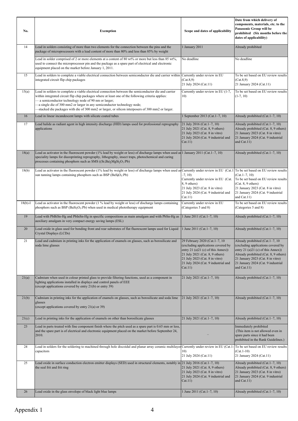| No.       | <b>Exemption</b>                                                                                                                                                                                                                                                                                                                                                                                                                                     | Scope and dates of applicability                                                                                                                                                                                                     | Date from which delivery of<br>components, materials, etc. to the<br>Panasonic Group will be<br>prohibited (Six months before the<br>dates of applicability)                                                                                      |
|-----------|------------------------------------------------------------------------------------------------------------------------------------------------------------------------------------------------------------------------------------------------------------------------------------------------------------------------------------------------------------------------------------------------------------------------------------------------------|--------------------------------------------------------------------------------------------------------------------------------------------------------------------------------------------------------------------------------------|---------------------------------------------------------------------------------------------------------------------------------------------------------------------------------------------------------------------------------------------------|
| 14        | Lead in solders consisting of more than two elements for the connection between the pins and the<br>package of microprocessors with a lead content of more than 80% and less than 85% by weight                                                                                                                                                                                                                                                      | 1 January 2011                                                                                                                                                                                                                       | Already prohibited                                                                                                                                                                                                                                |
|           | Lead in solder comprised of 2 or more elements at a content of 80 wt% or more but less than 85 wt%,<br>used to connect the microprocessor pin and the package as a spare part of electrical and electronic<br>equipment placed on the market before January 1, 2011.                                                                                                                                                                                 | No deadline                                                                                                                                                                                                                          | No deadline                                                                                                                                                                                                                                       |
| 15        | Lead in solders to complete a viable electrical connection between semiconductor die and carrier within<br>integrated circuit flip chip packages                                                                                                                                                                                                                                                                                                     | Currently under review in EU<br>(Cat.8,9)<br>21 July 2024 (Cat.11)                                                                                                                                                                   | To be set based on EU review results<br>(Cat.8,9)<br>21 January 2024 (Cat.11)                                                                                                                                                                     |
| 15(a)     | Lead in solders to complete a viable electrical connection between the semiconductor die and carrier<br>within integrated circuit flip chip packages where at least one of the following criteria applies:<br>- a semiconductor technology node of 90 nm or larger;<br>-a single die of 300 mm2 or larger in any semiconductor technology node;<br>-stacked die packages with die of 300 mm2 or larger, or silicon interposers of 300 mm2 or larger. | Currently under review in EU (1-7,<br>10)                                                                                                                                                                                            | To be set based on EU review results<br>$(1-7, 10)$                                                                                                                                                                                               |
| 16        | Lead in linear incandescent lamps with silicate coated tubes                                                                                                                                                                                                                                                                                                                                                                                         | 1 September 2013 (Cat. 1-7, 10)                                                                                                                                                                                                      | Already prohibited (Cat.1-7, 10)                                                                                                                                                                                                                  |
| 17        | Lead halide as radiant agent in high intensity discharge (HID) lamps used for professional reprography<br>applications                                                                                                                                                                                                                                                                                                                               | 21 July 2016 (Cat. 1-7, 10)<br>21 July 2021 (Cat. 8, 9 others)<br>21 July 2023 (Cat. 8 in vitro)<br>21 July 2024 (Cat. 9 industrial and<br>Cat.11)                                                                                   | Already prohibited (Cat. 1-7, 10)<br>Already prohibited (Cat. 8, 9 others)<br>21 January 2023 (Cat. 8 in vitro)<br>21 January 2024 (Cat. 9 industrial<br>and Cat.11)                                                                              |
| 18(a)     | Lead as activator in the fluorescent powder (1% lead by weight or less) of discharge lamps when used as 1 January 2011 (Cat.1-7, 10)<br>speciality lamps for diazoprinting reprography, lithography, insect traps, photochemical and curing<br>processes containing phosphors such as SMS ((Sr,Ba),MgSi <sub>2</sub> O <sub>7</sub> :Pb)                                                                                                             |                                                                                                                                                                                                                                      | Already prohibited (Cat. 1-7, 10)                                                                                                                                                                                                                 |
| 18(b)     | Lead as activator in the fluorescent powder (1% lead by weight or less) of discharge lamps when used as Currently under review in EU (Cat.1) To be set based on EU review results<br>sun tanning lamps containing phosphors such as BSP (BaSiO <sub>5</sub> :Pb)                                                                                                                                                                                     | $-7, 10$<br>Currently under review in EU (Cat.<br>8, 9 others)<br>21 July 2023 (Cat. 8 in vitro)<br>21 July 2024 (Cat. 9 industrial and<br>Cat.11)                                                                                   | $(Cat.1-7, 10)$<br>To be set based on EU review results<br>(Cat. 8, 9 others)<br>21 January 2023 (Cat. 8 in vitro)<br>21 January 2024 (Cat. 9 industrial<br>and Cat.11)                                                                           |
| $18(b)-I$ | Lead as activator in the fluorescent powder (1 % lead by weight or less) of discharge lamps containing<br>phosphors such as BSP ( $BaSi2O5$ :Pb) when used in medical phototherapy equipment                                                                                                                                                                                                                                                         | Currently under review in EU<br>(Categories 5 and 8)                                                                                                                                                                                 | To be set based on EU review results<br>(Categories 5 and 8)                                                                                                                                                                                      |
| 19        | Lead with PbBiSn-Hg and PbInSn-Hg in specific compositions as main amalgam and with PbSn-Hg as<br>auxiliary amalgam in very compact energy saving lamps (ESL)                                                                                                                                                                                                                                                                                        | 1 June 2011 (Cat. 1-7, 10)                                                                                                                                                                                                           | Already prohibited (Cat.1-7, 10)                                                                                                                                                                                                                  |
| 20        | Lead oxide in glass used for bonding front and rear substrates of flat fluorescent lamps used for Liquid<br>Crystal Displays (LCDs)                                                                                                                                                                                                                                                                                                                  | 1 June 2011 (Cat. 1-7, 10)                                                                                                                                                                                                           | Already prohibited (Cat.1-7, 10)                                                                                                                                                                                                                  |
| 21        | Lead and cadmium in printing inks for the application of enamels on glasses, such as borosilicate and<br>soda lime glasses                                                                                                                                                                                                                                                                                                                           | 29 February 2020 (Cat.1-7, 10)<br>(excluding applications covered by<br>entry 21 (a) $21$ (c) of this Annex))<br>21 July 2021 (Cat. 8, 9 others)<br>21 July 2023 (Cat. 8 in vitro)<br>21 July 2024 (Cat. 9 industrial and<br>Cat.11) | Already prohibited (Cat.1-7, 10<br>(excluding applications covered by<br>entry 21 (a) $21$ (c) of this Annex))<br>Already prohibited (Cat. 8, 9 others)<br>21 January 2023 (Cat. 8 in vitro)<br>21 January 2024 (Cat. 9 industrial<br>and Cat.11) |
| 21(a)     | Cadmium when used in colour printed glass to provide filtering functions, used as a component in<br>lighting applications installed in displays and control panels of EEE<br>(except applications covered by entry 21(b) or entry 39)                                                                                                                                                                                                                | 21 July 2021 (Cat. 1-7, 10)                                                                                                                                                                                                          | Already prohibited (Cat.1-7, 10)                                                                                                                                                                                                                  |
| 21(b)     | Cadmium in printing inks for the application of enamels on glasses, such as borosilicate and soda lime<br>glasses<br>(except applications covered by entry 21(a) or 39)                                                                                                                                                                                                                                                                              | 21 July 2021 (Cat. 1-7, 10)                                                                                                                                                                                                          | Already prohibited (Cat.1-7, 10)                                                                                                                                                                                                                  |
| 21(c)     | Lead in printing inks for the application of enamels on other than borosilicate glasses                                                                                                                                                                                                                                                                                                                                                              | 21 July 2021 (Cat. 1-7, 10)                                                                                                                                                                                                          | Already prohibited (Cat.1-7, 10)                                                                                                                                                                                                                  |
| 23        | Lead in parts treated with fine component finish where the pitch used as a spare part is 0.65 mm or less,<br>and the spare part is of electrical and electronic equipment placed on the market before September 24,<br>2010.                                                                                                                                                                                                                         |                                                                                                                                                                                                                                      | Immediately prohibited<br>(This item is not allowed even in<br>spare parts since it had been<br>prohibited in the Rank Guidelines.)                                                                                                               |
| 24        | Lead in solders for the soldering to machined through hole discoidal and planar array ceramic multilayer Currently under review in EU (Cat.1-To be set based on EU review results<br>capacitors                                                                                                                                                                                                                                                      | 10)<br>21 July 2024 (Cat.11)                                                                                                                                                                                                         | $(Cat.1-10)$<br>21 January 2024 (Cat.11)                                                                                                                                                                                                          |
| 25        | Lead oxide in surface conduction electron emitter displays (SED) used in structural elements, notably in 21 July 2016 (Cat.1-7, 10)<br>the seal frit and frit ring                                                                                                                                                                                                                                                                                   | 21 July 2021 (Cat. 8, 9 others)<br>21 July 2023 (Cat. 8 in vitro)<br>21 July 2024 (Cat. 9 industrial and<br>Cat.11)                                                                                                                  | Already prohibited (Cat.1-7, 10)<br>Already prohibited (Cat. 8, 9 others)<br>21 January 2023 (Cat. 8 in vitro)<br>21 January 2024 (Cat. 9 industrial<br>and Cat.11)                                                                               |
| 26        | Lead oxide in the glass envelope of black light blue lamps                                                                                                                                                                                                                                                                                                                                                                                           | 1 June 2011 (Cat. 1-7, 10)                                                                                                                                                                                                           | Already prohibited (Cat.1-7, 10)                                                                                                                                                                                                                  |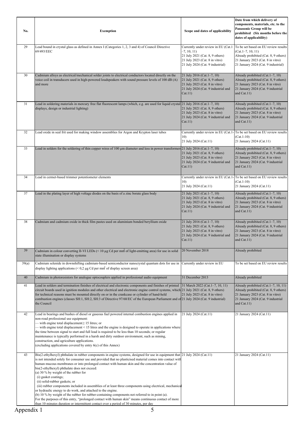| No.        | <b>Exemption</b><br>Scope and dates of applicability                                                                                                                                                                                                                                                                                                                                                                                                                                                                                                                                                                                                                                                                                                                                                                                                                                                                                                                        |                                                                                                                                                              | Date from which delivery of<br>components, materials, etc. to the<br>Panasonic Group will be<br>prohibited (Six months before the<br>dates of applicability)                     |
|------------|-----------------------------------------------------------------------------------------------------------------------------------------------------------------------------------------------------------------------------------------------------------------------------------------------------------------------------------------------------------------------------------------------------------------------------------------------------------------------------------------------------------------------------------------------------------------------------------------------------------------------------------------------------------------------------------------------------------------------------------------------------------------------------------------------------------------------------------------------------------------------------------------------------------------------------------------------------------------------------|--------------------------------------------------------------------------------------------------------------------------------------------------------------|----------------------------------------------------------------------------------------------------------------------------------------------------------------------------------|
| 29         | Lead bound in crystal glass as defined in Annex I (Categories 1, 2, 3 and 4) of Council Directive<br>69/493/EEC                                                                                                                                                                                                                                                                                                                                                                                                                                                                                                                                                                                                                                                                                                                                                                                                                                                             | Currently under review in EU (Cat.1<br>$-7, 10, 11$<br>21 July 2021 (Cat. 8, 9 others)<br>21 July 2023 (Cat. 8 in vitro)<br>21 July 2024 (Cat. 9 industrial) | To be set based on EU review results<br>$(Cat.1-7, 10, 11)$<br>Already prohibited (Cat. 8, 9 others)<br>21 January 2023 (Cat. 8 in vitro)<br>21 January 2024 (Cat. 9 industrial) |
| 30         | Cadmium alloys as electrical/mechanical solder joints to electrical conductors located directly on the<br>voice coil in transducers used in high-powered loudspeakers with sound pressure levels of 100 dB (A)<br>and more                                                                                                                                                                                                                                                                                                                                                                                                                                                                                                                                                                                                                                                                                                                                                  | 21 July 2016 (Cat. 1-7, 10)<br>21 July 2021 (Cat. 8, 9 others)<br>21 July 2023 (Cat. 8 in vitro)<br>21 July 2024 (Cat. 9 industrial and<br>Cat.11)           | Already prohibited (Cat.1-7, 10)<br>Already prohibited (Cat. 8, 9 others)<br>21 January 2023 (Cat. 8 in vitro)<br>21 January 2024 (Cat. 9 industrial<br>and $Cat.11$ )           |
| 31         | Lead in soldering materials in mercury free flat fluorescent lamps (which, e.g. are used for liquid crystal 21 July 2016 (Cat.1–7, 10)<br>displays, design or industrial lighting)                                                                                                                                                                                                                                                                                                                                                                                                                                                                                                                                                                                                                                                                                                                                                                                          | 21 July 2021 (Cat. 8, 9 others)<br>21 July 2023 (Cat. 8 in vitro)<br>21 July 2024 (Cat. 9 industrial and<br>Cat.11)                                          | Already prohibited (Cat.1-7, 10)<br>Already prohibited (Cat. 8, 9 others)<br>21 January 2023 (Cat. 8 in vitro)<br>21 January 2024 (Cat. 9 industrial<br>and $Cat.11)$            |
| 32         | Lead oxide in seal frit used for making window assemblies for Argon and Krypton laser tubes                                                                                                                                                                                                                                                                                                                                                                                                                                                                                                                                                                                                                                                                                                                                                                                                                                                                                 | 10)<br>21 July 2024 (Cat.11)                                                                                                                                 | Currently under review in EU (Cat.1-To be set based on EU review results<br>$(Cat.1-10)$<br>21 January 2024 (Cat.11)                                                             |
| 33         | Lead in solders for the soldering of thin copper wires of 100 µm diameter and less in power transformers 21 July 2016 (Cat.1-7, 10)                                                                                                                                                                                                                                                                                                                                                                                                                                                                                                                                                                                                                                                                                                                                                                                                                                         | 21 July 2021 (Cat. 8, 9 others)<br>21 July 2023 (Cat. 8 in vitro)<br>21 July 2024 (Cat. 9 industrial and<br>Cat.11)                                          | Already prohibited (Cat. 1-7, 10)<br>Already prohibited (Cat. 8, 9 others)<br>21 January 2023 (Cat. 8 in vitro)<br>21 January 2024 (Cat. 9 industrial<br>and Cat.11)             |
| 34         | Lead in cermet-based trimmer potentiometer elements                                                                                                                                                                                                                                                                                                                                                                                                                                                                                                                                                                                                                                                                                                                                                                                                                                                                                                                         | 10)<br>21 July 2024 (Cat.11)                                                                                                                                 | Currently under review in EU (Cat.1- To be set based on EU review results<br>$(Cat.1-10)$<br>21 January 2024 (Cat.11)                                                            |
| 37         | Lead in the plating layer of high voltage diodes on the basis of a zinc borate glass body                                                                                                                                                                                                                                                                                                                                                                                                                                                                                                                                                                                                                                                                                                                                                                                                                                                                                   | 21 July 2021 (Cat. 1-7, 10)<br>21 July 2021 (Cat. 8, 9 others)<br>21 July 2023 (Cat. 8 in vitro)<br>21 July 2024 (Cat. 9 industrial and<br>Cat.11)           | Already prohibited (Cat.1-7, 10)<br>Already prohibited (Cat. 8, 9 others)<br>21 January 2023 (Cat. 8 in vitro)<br>21 January 2024 (Cat. 9 industrial<br>and $Cat.11$ )           |
| 38         | Cadmium and cadmium oxide in thick film pastes used on aluminium bonded beryllium oxide                                                                                                                                                                                                                                                                                                                                                                                                                                                                                                                                                                                                                                                                                                                                                                                                                                                                                     | 21 July 2016 (Cat. 1-7, 10)<br>21 July 2021 (Cat. 8, 9 others)<br>21 July 2023 (Cat. 8 in vitro)<br>21 July 2024 (Cat. 9 industrial and<br>Cat.11)           | Already prohibited (Cat. 1-7, 10)<br>Already prohibited (Cat. 8, 9 others)<br>21 January 2023 (Cat. 8 in vitro)<br>21 January 2024 (Cat. 9 industrial<br>and $Cat.11$ )          |
| 39         | Cadmium in colour converting II-VI LEDs $($ < 10 $\mu$ g Cd per mm of light-emitting area) for use in solid<br>state illumination or display systems                                                                                                                                                                                                                                                                                                                                                                                                                                                                                                                                                                                                                                                                                                                                                                                                                        | 20 November 2018                                                                                                                                             | Already prohibited                                                                                                                                                               |
| 39(a)      | Cadmium selenide in downshifting cadmium-based semiconductor nanocrystal quantum dots for use in<br>display lighting applications ( $\leq 0.2 \mu$ g Cd per mm <sup>2</sup> of display screen area)                                                                                                                                                                                                                                                                                                                                                                                                                                                                                                                                                                                                                                                                                                                                                                         | Currently under review in EU                                                                                                                                 | To be set based on EU review results                                                                                                                                             |
| 40         | Cadmium in photoresistors for analogue optocouplers applied in professional audio equipment                                                                                                                                                                                                                                                                                                                                                                                                                                                                                                                                                                                                                                                                                                                                                                                                                                                                                 | 31 December 2013                                                                                                                                             | Already prohibited                                                                                                                                                               |
| 41         | Lead in solders and termination finishes of electrical and electronic components and finishes of printed<br>circuit boards used in ignition modules and other electrical and electronic engine control systems, which 21 July 2021 (Cat. 8, 9 others)<br>for technical reasons must be mounted directly on or in the crankcase or cylinder of hand-held<br>combustion engines (classes SH:1, SH:2, SH:3 of Directive 97/68/EC of the European Parliament and of 21 July 2024 (Cat. 9 industrial)<br>the Council                                                                                                                                                                                                                                                                                                                                                                                                                                                             | 31 March 2022 (Cat. 1-7, 10, 11)<br>21 July 2023 (Cat. 8 in vitro)                                                                                           | Already prohibited (Cat.1-7, 10, 11)<br>Already prohibited (Cat. 8, 9 others)<br>21 January 2023 (Cat. 8 in vitro)<br>21 January 2024 (Cat. 9 industrial<br>and $Cat.11$ )       |
| 42         | Lead in bearings and bushes of diesel or gaseous fuel powered internal combustion engines applied in<br>non-road professional use equipment:<br>$-$ with engine total displacement $\geq 15$ litres; or<br>- with engine total displacement < 15 litres and the engine is designed to operate in applications where<br>the time between signal to start and full load is required to be less than 10 seconds; or regular<br>maintenance is typically performed in a harsh and dirty outdoor environment, such as mining,<br>construction, and agriculture applications.<br>(excluding applications covered by entry $6(c)$ of this Annex)                                                                                                                                                                                                                                                                                                                                   | 21 July 2024 (Cat.11)                                                                                                                                        | 21 January 2024 (Cat.11)                                                                                                                                                         |
| 43         | Bis(2-ethylhexyl) phthalate in rubber components in engine systems, designed for use in equipment that 21 July 2024 (Cat.11)<br>is not intended solely for consumer use and provided that no plasticised material comes into contact with<br>human mucous membranes or into prolonged contact with human skin and the concentration value of<br>bis(2-ethylhexyl) phthalate does not exceed:<br>(a) 30 % by weight of the rubber for<br>(i) gasket coatings;<br>(ii) solid-rubber gaskets; or<br>(iii) rubber components included in assemblies of at least three components using electrical, mechanica<br>or hydraulic energy to do work, and attached to the engine.<br>(b) 10 % by weight of the rubber for rubber-containing components not referred to in point (a).<br>For the purposes of this entry, "prolonged contact with human skin" means continuous contact of more<br>than 10 minutes duration or intermittent contact over a period of 30 minutes, per day |                                                                                                                                                              | 21 January 2024 (Cat.11)                                                                                                                                                         |
| Appendix 1 | 5                                                                                                                                                                                                                                                                                                                                                                                                                                                                                                                                                                                                                                                                                                                                                                                                                                                                                                                                                                           |                                                                                                                                                              |                                                                                                                                                                                  |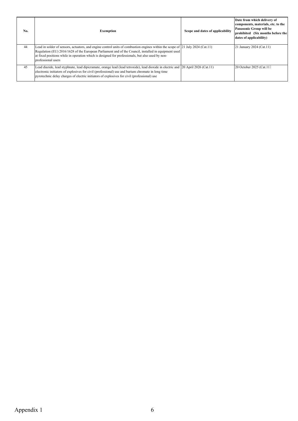| No. | <b>Exemption</b>                                                                                                               | Scope and dates of applicability | Date from which delivery of<br>components, materials, etc. to the<br>Panasonic Group will be<br>prohibited (Six months before the<br>dates of applicability) |
|-----|--------------------------------------------------------------------------------------------------------------------------------|----------------------------------|--------------------------------------------------------------------------------------------------------------------------------------------------------------|
| 44  | Lead in solder of sensors, actuators, and engine control units of combustion engines within the scope of 21 July 2024 (Cat.11) |                                  | 21 January 2024 (Cat.11)                                                                                                                                     |
|     | Regulation (EU) 2016/1628 of the European Parliament and of the Council, installed in equipment used                           |                                  |                                                                                                                                                              |
|     | at fixed positions while in operation which is designed for professionals, but also used by non-<br>professional users         |                                  |                                                                                                                                                              |
| 45  | Lead diazide, lead styphnate, lead dipicramate, orange lead (lead tetroxide), lead dioxide in electric and                     | 20 April 2026 (Cat.11)           | 20 October 2025 (Cat.11)                                                                                                                                     |
|     | electronic initiators of explosives for civil (professional) use and barium chromate in long time                              |                                  |                                                                                                                                                              |
|     | pyrotechnic delay charges of electric initiators of explosives for civil (professional) use                                    |                                  |                                                                                                                                                              |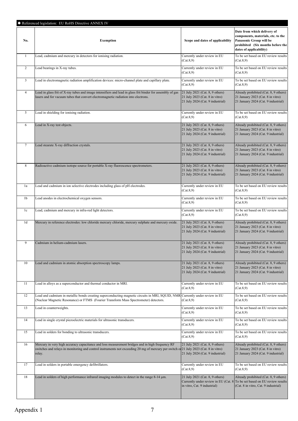|                | Referenced legislation: EU RoHS Directive ANNEX IV                                                                                                                                                                                                 |                                                                                                       |                                                                                                                                                              |
|----------------|----------------------------------------------------------------------------------------------------------------------------------------------------------------------------------------------------------------------------------------------------|-------------------------------------------------------------------------------------------------------|--------------------------------------------------------------------------------------------------------------------------------------------------------------|
| No.            | <b>Exemption</b>                                                                                                                                                                                                                                   | Scope and dates of applicability                                                                      | Date from which delivery of<br>components, materials, etc. to the<br>Panasonic Group will be<br>prohibited (Six months before the<br>dates of applicability) |
| $\mathbf{1}$   | Lead, cadmium and mercury in detectors for ionising radiation.                                                                                                                                                                                     | Currently under review in EU<br>(Cat.8,9)                                                             | To be set based on EU review results<br>(Cat.8,9)                                                                                                            |
| 2              | Lead bearings in X-ray tubes.                                                                                                                                                                                                                      | Currently under review in EU<br>(Cat.8,9)                                                             | To be set based on EU review results<br>(Cat.8,9)                                                                                                            |
| $\mathbf{3}$   | Lead in electromagnetic radiation amplification devices: micro-channel plate and capillary plate.                                                                                                                                                  | Currently under review in EU<br>(Cat.8,9)                                                             | To be set based on EU review results<br>(Cat.8,9)                                                                                                            |
| $\overline{4}$ | Lead in glass frit of X-ray tubes and image intensifiers and lead in glass frit binder for assembly of gas<br>lasers and for vacuum tubes that convert electromagnetic radiation into electrons.                                                   | 21 July 2021 (Cat. 8, 9 others)<br>21 July 2023 (Cat. 8 in vitro)<br>21 July 2024 (Cat. 9 industrial) | Already prohibited (Cat. 8, 9 others)<br>21 January 2023 (Cat. 8 in vitro)<br>21 January 2024 (Cat. 9 industrial)                                            |
| 5              | Lead in shielding for ionising radiation.                                                                                                                                                                                                          | Currently under review in EU<br>(Cat.8,9)                                                             | To be set based on EU review results<br>(Cat.8,9)                                                                                                            |
| 6              | Lead in X-ray test objects.                                                                                                                                                                                                                        | 21 July 2021 (Cat. 8, 9 others)<br>21 July 2023 (Cat. 8 in vitro)<br>21 July 2024 (Cat. 9 industrial) | Already prohibited (Cat. 8, 9 others)<br>21 January 2023 (Cat. 8 in vitro)<br>21 January 2024 (Cat. 9 industrial)                                            |
| $\tau$         | Lead stearate X-ray diffraction crystals.                                                                                                                                                                                                          | 21 July 2021 (Cat. 8, 9 others)<br>21 July 2023 (Cat. 8 in vitro)<br>21 July 2024 (Cat. 9 industrial) | Already prohibited (Cat. 8, 9 others)<br>21 January 2023 (Cat. 8 in vitro)<br>21 January 2024 (Cat. 9 industrial)                                            |
| 8              | Radioactive cadmium isotope source for portable X-ray fluorescence spectrometers.                                                                                                                                                                  | 21 July 2021 (Cat. 8, 9 others)<br>21 July 2023 (Cat. 8 in vitro)<br>21 July 2024 (Cat. 9 industrial) | Already prohibited (Cat. 8, 9 others)<br>21 January 2023 (Cat. 8 in vitro)<br>21 January 2024 (Cat. 9 industrial)                                            |
| 1a             | Lead and cadmium in ion selective electrodes including glass of pH electrodes.                                                                                                                                                                     | Currently under review in EU<br>(Cat.8,9)                                                             | To be set based on EU review results<br>(Cat.8,9)                                                                                                            |
| 1b             | Lead anodes in electrochemical oxygen sensors.                                                                                                                                                                                                     | Currently under review in EU<br>(Cat.8,9)                                                             | To be set based on EU review results<br>(Cat.8,9)                                                                                                            |
| 1c             | Lead, cadmium and mercury in infra-red light detectors.                                                                                                                                                                                            | Currently under review in EU<br>(Cat.8,9)                                                             | To be set based on EU review results<br>(Cat.8,9)                                                                                                            |
| 1 <sub>d</sub> | Mercury in reference electrodes: low chloride mercury chloride, mercury sulphate and mercury oxide.                                                                                                                                                | 21 July 2021 (Cat. 8, 9 others)<br>21 July 2023 (Cat. 8 in vitro)<br>21 July 2024 (Cat. 9 industrial) | Already prohibited (Cat. 8, 9 others)<br>21 January 2023 (Cat. 8 in vitro)<br>21 January 2024 (Cat. 9 industrial)                                            |
| 9              | Cadmium in helium-cadmium lasers.                                                                                                                                                                                                                  | 21 July 2021 (Cat. 8, 9 others)<br>21 July 2023 (Cat. 8 in vitro)<br>21 July 2024 (Cat. 9 industrial) | Already prohibited (Cat. 8, 9 others)<br>21 January 2023 (Cat. 8 in vitro)<br>21 January 2024 (Cat. 9 industrial)                                            |
| 10             | Lead and cadmium in atomic absorption spectroscopy lamps.                                                                                                                                                                                          | 21 July 2021 (Cat. 8, 9 others)<br>21 July 2023 (Cat. 8 in vitro)<br>21 July 2024 (Cat. 9 industrial) | Already prohibited (Cat. 8, 9 others)<br>21 January 2023 (Cat. 8 in vitro)<br>21 January 2024 (Cat. 9 industrial)                                            |
| 11             | Lead in alloys as a superconductor and thermal conductor in MRI.                                                                                                                                                                                   | Currently under review in EU<br>(Cat.8,9)                                                             | To be set based on EU review results<br>(Cat.8,9)                                                                                                            |
| 12             | Lead and cadmium in metallic bonds creating superconducting magnetic circuits in MRI, SQUID, NMR Currently under review in EU<br>(Nuclear Magnetic Resonance) or FTMS (Fourier Transform Mass Spectrometer) detectors.                             | (Cat.8,9)                                                                                             | To be set based on EU review results<br>(Cat.8,9)                                                                                                            |
| 13             | Lead in counterweights.                                                                                                                                                                                                                            | Currently under review in EU<br>(Cat.8,9)                                                             | To be set based on EU review results<br>(Cat.8,9)                                                                                                            |
| 14             | Lead in single crystal piezoelectric materials for ultrasonic transducers.                                                                                                                                                                         | Currently under review in EU<br>(Cat.8,9)                                                             | To be set based on EU review results<br>(Cat.8,9)                                                                                                            |
| 15             | Lead in solders for bonding to ultrasonic transducers.                                                                                                                                                                                             | Currently under review in EU<br>(Cat.8,9)                                                             | To be set based on EU review results<br>(Cat.8,9)                                                                                                            |
| 16             | Mercury in very high accuracy capacitance and loss measurement bridges and in high frequency RF<br>switches and relays in monitoring and control instruments not exceeding 20 mg of mercury per switch or 21 July 2023 (Cat. 8 in vitro)<br>relay. | 21 July 2021 (Cat. 8, 9 others)<br>21 July 2024 (Cat. 9 industrial)                                   | Already prohibited (Cat. 8, 9 others)<br>21 January 2023 (Cat. 8 in vitro)<br>21 January 2024 (Cat. 9 industrial)                                            |
| 17             | Lead in solders in portable emergency defibrillators.                                                                                                                                                                                              | Currently under review in EU<br>(Cat.8,9)                                                             | To be set based on EU review results<br>(Cat.8,9)                                                                                                            |
| 18             | Lead in solders of high performance infrared imaging modules to detect in the range 8-14 um.                                                                                                                                                       | 21 July 2021 (Cat. 8, 9 others)<br>in vitro, Cat. 9 industrial)                                       | Already prohibited (Cat. 8, 9 others)<br>Currently under review in EU (Cat. 8 To be set based on EU review results<br>(Cat. 8 in vitro, Cat. 9 industrial)   |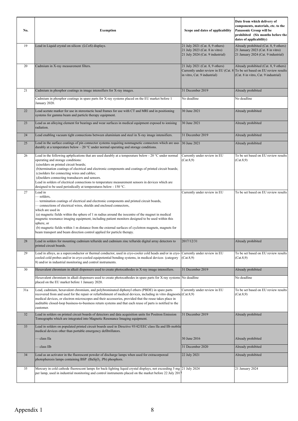| No. | <b>Exemption</b>                                                                                                                                                                                                                                                                                                                                                                                                                                                                                                                                                                                                                   | Scope and dates of applicability                                | Date from which delivery of<br>components, materials, etc. to the<br>Panasonic Group will be<br>prohibited (Six months before the<br>dates of applicability) |
|-----|------------------------------------------------------------------------------------------------------------------------------------------------------------------------------------------------------------------------------------------------------------------------------------------------------------------------------------------------------------------------------------------------------------------------------------------------------------------------------------------------------------------------------------------------------------------------------------------------------------------------------------|-----------------------------------------------------------------|--------------------------------------------------------------------------------------------------------------------------------------------------------------|
| 19  | Lead in Liquid crystal on silicon (LCoS) displays.<br>21 July 2021 (Cat. 8, 9 others)<br>21 July 2023 (Cat. 8 in vitro)<br>21 July 2024 (Cat. 9 industrial)                                                                                                                                                                                                                                                                                                                                                                                                                                                                        |                                                                 | Already prohibited (Cat. 8, 9 others)<br>21 January 2023 (Cat. 8 in vitro)<br>21 January 2024 (Cat. 9 industrial)                                            |
| 20  | Cadmium in X-ray measurement filters.                                                                                                                                                                                                                                                                                                                                                                                                                                                                                                                                                                                              | 21 July 2021 (Cat. 8, 9 others)<br>in vitro, Cat. 9 industrial) | Already prohibited (Cat. 8, 9 others)<br>Currently under review in EU (Cat. 8 To be set based on EU review results<br>(Cat. 8 in vitro, Cat. 9 industrial)   |
| 21  | Cadmium in phosphor coatings in image intensifiers for X-ray images.                                                                                                                                                                                                                                                                                                                                                                                                                                                                                                                                                               | 31 December 2019                                                | Already prohibited                                                                                                                                           |
|     | Cadmium in phosphor coatings in spare parts for X-ray systems placed on the EU market before 1<br>January 2020.                                                                                                                                                                                                                                                                                                                                                                                                                                                                                                                    | No deadline                                                     | No deadline                                                                                                                                                  |
| 22  | Lead acetate marker for use in stereotactic head frames for use with CT and MRI and in positioning<br>systems for gamma beam and particle therapy equipment.                                                                                                                                                                                                                                                                                                                                                                                                                                                                       | 30 June 2021                                                    | Already prohibited                                                                                                                                           |
| 23  | Lead as an alloying element for bearings and wear surfaces in medical equipment exposed to ionising<br>radiation.                                                                                                                                                                                                                                                                                                                                                                                                                                                                                                                  | 30 June 2021                                                    | Already prohibited                                                                                                                                           |
| 24  | Lead enabling vacuum tight connections between aluminium and steel in X-ray image intensifiers.                                                                                                                                                                                                                                                                                                                                                                                                                                                                                                                                    | 31 December 2019                                                | Already prohibited                                                                                                                                           |
| 25  | Lead in the surface coatings of pin connector systems requiring nonmagnetic connectors which are used<br>durably at a temperature below $-20$ °C under normal operating and storage conditions.                                                                                                                                                                                                                                                                                                                                                                                                                                    | 30 June 2021                                                    | Already prohibited                                                                                                                                           |
| 26  | Lead in the following apóplications that are used durably at a temperature below - 20 °C under normal<br>Currently under review in EU<br>operating and storage conditions:<br>(Cat.8,9)<br>(Cat.8,9)<br>(a)solders on printed circuit boards;<br>(b)termination coatings of electrical and electronic components and coatings of printed circuit boards;<br>(c)solders for connecting wires and cables;<br>(d)solders connecting transducers and sensors.<br>Lead in solders of electrical connections to temperature measurement sensors in devices which are<br>designed to be used periodically at temperatures below - 150 °C. |                                                                 | To be set based on EU review results                                                                                                                         |
| 27  | Lead in<br>- solders,<br>- termination coatings of electrical and electronic components and printed circuit boards,<br>- connections of electrical wires, shields and enclosed connectors,<br>which are used in<br>(a) magnetic fields within the sphere of 1 m radius around the isocentre of the magnet in medical<br>magnetic resonance imaging equipment, including patient monitors designed to be used within this<br>sphere, or<br>(b) magnetic fields within 1 m distance from the external surfaces of cyclotron magnets, magnets for<br>beam transport and beam direction control applied for particle therapy.          | Currently under review in EU                                    | To be set based on EU review results                                                                                                                         |
| 28  | Lead in solders for mounting cadmium telluride and cadmium zinc telluride digital array detectors to<br>printed circuit boards.                                                                                                                                                                                                                                                                                                                                                                                                                                                                                                    | 2017/12/31                                                      | Already prohibited                                                                                                                                           |
| 29  | Lead in alloys, as a superconductor or thermal conductor, used in cryo-cooler cold heads and/or in cryo-<br>cooled cold probes and/or in cryo-cooled equipotential bonding systems, in medical devices (category<br>8) and/or in industrial monitoring and control instruments.                                                                                                                                                                                                                                                                                                                                                    | Currently under review in EU<br>(Cat.8,9)                       | To be set based on EU review results<br>(Cat.8,9)                                                                                                            |
| 30  | Hexavalent chromium in alkali dispensers used to create photocathodes in X-ray image intensifiers.                                                                                                                                                                                                                                                                                                                                                                                                                                                                                                                                 | 31 December 2019                                                | Already prohibited                                                                                                                                           |
|     | Hexavalent chromium in alkali dispensers used to create photocathodes in spare parts for X-ray systems<br>placed on the EU market before 1 January 2020.                                                                                                                                                                                                                                                                                                                                                                                                                                                                           | No deadline                                                     | No deadline                                                                                                                                                  |
| 31a | Lead, cadmium, hexavalent chromium, and polybrominated diphenyl ethers (PBDE) in spare parts<br>recovered from and used for the repair or refurbishment of medical devices, including in vitro diagnostic (Cat.8,9)<br>medical devices, or electron microscopes and their accessories, provided that the reuse takes place in<br>auditable closed-loop business-to-business return systems and that each reuse of parts is notified to the<br>customer.                                                                                                                                                                            | Currently under review in EU                                    | To be set based on EU review results<br>(Cat.8,9)                                                                                                            |
| 32  | Lead in solders on printed circuit boards of detectors and data acquisition units for Positron Emission<br>Tomographs which are integrated into Magnetic Resonance Imaging equipment.                                                                                                                                                                                                                                                                                                                                                                                                                                              | 31 December 2019                                                | Already prohibited                                                                                                                                           |
| 33  | Lead in solders on populated printed circuit boards used in Directive 93/42/EEC class IIa and IIb mobile<br>medical devices other than portable emergency defibrillators.                                                                                                                                                                                                                                                                                                                                                                                                                                                          |                                                                 |                                                                                                                                                              |
|     | class IIa                                                                                                                                                                                                                                                                                                                                                                                                                                                                                                                                                                                                                          | 30 June 2016                                                    | Already prohibited                                                                                                                                           |
|     | class IIb                                                                                                                                                                                                                                                                                                                                                                                                                                                                                                                                                                                                                          | 31 December 2020                                                | Already prohibited                                                                                                                                           |
| 34  | Lead as an activator in the fluorescent powder of discharge lamps when used for extracorporeal<br>photopheresis lamps containing BSP $(BaS2O5:Pb)$ phosphors.                                                                                                                                                                                                                                                                                                                                                                                                                                                                      | 22 July 2021                                                    | Already prohibited                                                                                                                                           |
| 35  | Mercury in cold cathode fluorescent lamps for back-lighting liquid crystal displays, not exceeding 5 mg 21 July 2024<br>per lamp, used in industrial monitoring and control instruments placed on the market before 22 July 2017                                                                                                                                                                                                                                                                                                                                                                                                   |                                                                 | 21 January 2024                                                                                                                                              |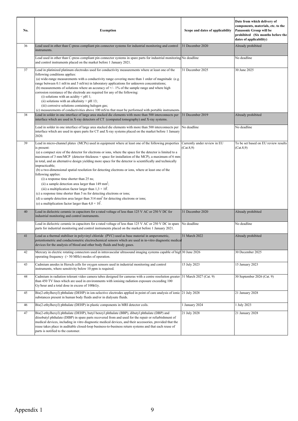| No. | Exemption                                                                                                                                                                                                                                                                                                                                                                                                                                                                                                                                                                                                                                                                                                                                                                                                                                                                                                                                                                                                               | Scope and dates of applicability          | Date from which delivery of<br>components, materials, etc. to the<br>Panasonic Group will be<br>prohibited (Six months before the<br>dates of applicability) |
|-----|-------------------------------------------------------------------------------------------------------------------------------------------------------------------------------------------------------------------------------------------------------------------------------------------------------------------------------------------------------------------------------------------------------------------------------------------------------------------------------------------------------------------------------------------------------------------------------------------------------------------------------------------------------------------------------------------------------------------------------------------------------------------------------------------------------------------------------------------------------------------------------------------------------------------------------------------------------------------------------------------------------------------------|-------------------------------------------|--------------------------------------------------------------------------------------------------------------------------------------------------------------|
| 36  | Lead used in other than C-press compliant pin connector systems for industrial monitoring and control<br>instruments.                                                                                                                                                                                                                                                                                                                                                                                                                                                                                                                                                                                                                                                                                                                                                                                                                                                                                                   | 31 December 2020                          | Already prohibited                                                                                                                                           |
|     | Lead used in other than C-press compliant pin connector systems in spare parts for industrial monitoring No deadline<br>and control instruments placed on the market before 1 January 2021.                                                                                                                                                                                                                                                                                                                                                                                                                                                                                                                                                                                                                                                                                                                                                                                                                             |                                           | No deadline                                                                                                                                                  |
| 37  | Lead in platinized platinum electrodes used for conductivity measurements where at least one of the<br>following conditions applies:<br>(a) wide-range measurements with a conductivity range covering more than 1 order of magnitude (e.g.<br>ange between $0.1$ mS/m and $5$ mS/m) in laboratory applications for unknown concentrations;<br>(b) measurements of solutions where an accuracy of $+/-1\%$ of the sample range and where high<br>corrosion resistance of the electrode are required for any of the following:<br>(i) solutions with an acidity $\leq$ pH 1;<br>(ii) solutions with an alkalinity $>$ pH 13;<br>(iii) corrosive solutions containing halogen gas;<br>(c) measurements of conductivities above 100 mS/m that must be performed with portable instruments.                                                                                                                                                                                                                                 | 31 December 2025                          | 30 June 2025                                                                                                                                                 |
| 38  | Lead in solder in one interface of large area stacked die elements with more than 500 interconnects per<br>interface which are used in X-ray detectors of CT (computed tomography) and X-ray systems.                                                                                                                                                                                                                                                                                                                                                                                                                                                                                                                                                                                                                                                                                                                                                                                                                   | 31 December 2019                          | Already prohibited                                                                                                                                           |
|     | Lead in solder in one interface of large area stacked die elements with more than 500 interconnects per<br>interface which are used in spare parts for CT and X-ray systems placed on the market before 1 January<br>2020.                                                                                                                                                                                                                                                                                                                                                                                                                                                                                                                                                                                                                                                                                                                                                                                              | No deadline                               | No deadline                                                                                                                                                  |
| 39  | Lead in micro-channel plates (MCPs) used in equipment where at least one of the following properties<br>is present:<br>(a) a compact size of the detector for electrons or ions, where the space for the detector is limited to a<br>maximum of 3 mm/MCP (detector thickness + space for installation of the MCP), a maximum of 6 mm<br>in total, and an alternative design yielding more space for the detector is scientifically and technically<br>impracticable;<br>(b) a two-dimensional spatial resolution for detecting electrons or ions, where at least one of the<br>following applies:<br>(i) a response time shorter than 25 ns;<br>(ii) a sample detection area larger than 149 mm <sup>2</sup> ;<br>(iii) a multiplication factor larger than $1,3 \times 10^3$ .<br>(c) a response time shorter than 5 ns for detecting electrons or ions;<br>(d) a sample detection area larger than $314 \text{ mm}^2$ for detecting electrons or ions;<br>(e) a multiplication factor larger than $4.0 \times 10^7$ . | Currently under review in EU<br>(Cat.8,9) | To be set based on EU review results<br>(Cat.8,9)                                                                                                            |
| 40  | Lead in dielectric ceramic in capacitors for a rated voltage of less than 125 V AC or 250 V DC for<br>industrial monitoring and control instruments.                                                                                                                                                                                                                                                                                                                                                                                                                                                                                                                                                                                                                                                                                                                                                                                                                                                                    | 31 December 2020                          | Already prohibited                                                                                                                                           |
|     | Lead in dielectric ceramic in capacitors for a rated voltage of less than 125 V AC or 250 V DC in spare<br>parts for industrial monitoring and control instruments placed on the market before 1 January 2021.                                                                                                                                                                                                                                                                                                                                                                                                                                                                                                                                                                                                                                                                                                                                                                                                          | No deadline                               | No deadline                                                                                                                                                  |
| 41  | Lead as a thermal stabiliser in polyvinyl chloride (PVC) used as base material in amperometric,<br>potentiometric and conductometric electrochemical sensors which are used in in-vitro diagnostic medical<br>devices for the analysis of blood and other body fluids and body gases.                                                                                                                                                                                                                                                                                                                                                                                                                                                                                                                                                                                                                                                                                                                                   | 31 March 2022                             | Already prohibited                                                                                                                                           |
| 42  | Mercury in electric rotating connectors used in intravascular ultrasound imaging systems capable of high 30 June 2026<br>operating frequency (> 50 MHz) modes of operation.                                                                                                                                                                                                                                                                                                                                                                                                                                                                                                                                                                                                                                                                                                                                                                                                                                             |                                           | 30 December 2025                                                                                                                                             |
| 43  | Cadmium anodes in Hersch cells for oxygen sensors used in industrial monitoring and control<br>instruments, where sensitivity below 10 ppm is required.                                                                                                                                                                                                                                                                                                                                                                                                                                                                                                                                                                                                                                                                                                                                                                                                                                                                 | 15 July 2023                              | 15 January 2023                                                                                                                                              |
| 44  | Cadmium in radiation tolerant video camera tubes designed for cameras with a centre resolution greater<br>than 450 TV lines which are used in environments with ionising radiation exposure exceeding 100<br>Gy/hour and a total dose in excess of 100kGy.                                                                                                                                                                                                                                                                                                                                                                                                                                                                                                                                                                                                                                                                                                                                                              | 31 March 2027 (Cat. 9)                    | 30 September 2026 (Cat. 9)                                                                                                                                   |
| 45  | Bis(2-ethylhexyl) phthalate (DEHP) in ion-selective electrodes applied in point of care analysis of ionic 21 July 2028<br>substances present in human body fluids and/or in dialysate fluids.                                                                                                                                                                                                                                                                                                                                                                                                                                                                                                                                                                                                                                                                                                                                                                                                                           |                                           | 21 January 2028                                                                                                                                              |
| 46  | Bis(2-ethylhexyl) phthalate (DEHP) in plastic components in MRI detector coils.                                                                                                                                                                                                                                                                                                                                                                                                                                                                                                                                                                                                                                                                                                                                                                                                                                                                                                                                         | 1 January 2024                            | 1 July 2023                                                                                                                                                  |
| 47  | Bis(2-ethylhexyl) phthalate (DEHP), butyl benzyl phthalate (BBP), dibutyl phthalate (DBP) and<br>diisobutyl phthalate (DIBP) in spare parts recovered from and used for the repair or refurbishment of<br>medical devices, including in vitro diagnostic medical devices, and their accessories, provided that the<br>reuse takes place in auditable closed-loop business-to-business return systems and that each reuse of<br>parts is notified to the customer.                                                                                                                                                                                                                                                                                                                                                                                                                                                                                                                                                       | 21 July 2028                              | 21 January 2028                                                                                                                                              |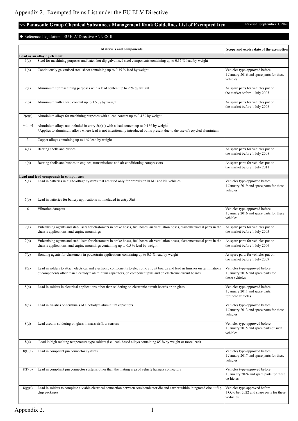# <span id="page-36-0"></span>**<< Panasonic Group Chemical Substances Management Rank Guidelines List of Exempted Item Revised: September 1, 2020**

# ◆ Referenced legislation: EU ELV Directive ANNEX II

|          | <b>Materials and components</b>                                                                                                                                                                                                                   | Scope and expiry date of the exemption                                                  |
|----------|---------------------------------------------------------------------------------------------------------------------------------------------------------------------------------------------------------------------------------------------------|-----------------------------------------------------------------------------------------|
|          | Lead as an alloying element                                                                                                                                                                                                                       |                                                                                         |
| 1(a)     | Steel for machining purposes and batch hot dip galvanised steel components containing up to 0.35 % lead by weight                                                                                                                                 |                                                                                         |
| 1(b)     | Continuously galvanised steel sheet containing up to 0.35 % lead by weight                                                                                                                                                                        | Vehicles type-approved before<br>1 January 2016 and spare parts for these<br>vehicles   |
| 2(a)     | Aluminium for machining purposes with a lead content up to 2 % by weight                                                                                                                                                                          | As spare parts for vehicles put on<br>the market before 1 July 2005                     |
| 2(b)     | Aluminium with a lead content up to 1.5 % by weight                                                                                                                                                                                               | As spare parts for vehicles put on<br>the market before 1 July 2008                     |
| 2(c)(i)  | Aluminium alloys for machining purposes with a lead content up to 0.4 % by weight                                                                                                                                                                 |                                                                                         |
| 2(c)(ii) | Aluminium alloys not included in entry $2(c)(i)$ with a lead content up to 0.4 % by weight<br>*Applies to aluminium alloys where lead is not intentionally introduced but is present due to the use of recycled aluminium.                        |                                                                                         |
| 3        | Copper alloys containing up to 4 % lead by weight                                                                                                                                                                                                 |                                                                                         |
| 4(a)     | Bearing shells and bushes                                                                                                                                                                                                                         | As spare parts for vehicles put on<br>the market before 1 July 2008                     |
| 4(b)     | Bearing shells and bushes in engines, transmissions and air conditioning compressors                                                                                                                                                              | As spare parts for vehicles put on<br>the market before 1 July 2011                     |
|          | Lead and lead compounds in components                                                                                                                                                                                                             |                                                                                         |
| 5(a)     | Lead in batteries in high-voltage systems that are used only for propulsion in M1 and N1 vehicles                                                                                                                                                 | Vehicles type-approved before<br>1 January 2019 and spare parts for these<br>vehicles   |
| 5(b)     | Lead in batteries for battery applications not included in entry 5(a)                                                                                                                                                                             |                                                                                         |
| 6        | Vibration dampers                                                                                                                                                                                                                                 | Vehicles type-approved before<br>1 January 2016 and spare parts for these<br>vehicles   |
| 7(a)     | Vulcanising agents and stabilisers for elastomers in brake hoses, fuel hoses, air ventilation hoses, elastomer/metal parts in the<br>chassis applications, and engine mountings                                                                   | As spare parts for vehicles put on<br>the market before 1 July 2005                     |
| 7(b)     | Vulcanising agents and stabilisers for elastomers in brake hoses, fuel hoses, air ventilation hoses, elastomer/metal parts in the<br>chassis applications, and engine mountings containing up to 0.5 % lead by weight                             | As spare parts for vehicles put on<br>the market before 1 July 2006                     |
| 7(c)     | Bonding agents for elastomers in powertrain applications containing up to 0,5 % lead by weight                                                                                                                                                    | As spare parts for vehicles put on<br>the market before 1 July 2009                     |
| 8(a)     | Lead in solders to attach electrical and electronic components to electronic circuit boards and lead in finishes on terminations<br>of components other than electrolyte aluminium capacitors, on component pins and on electronic circuit boards | Vehicles type-approved before<br>1 January 2016 and spare parts for<br>these vehicles   |
| 8(b)     | Lead in solders in electrical applications other than soldering on electronic circuit boards or on glass                                                                                                                                          | Vehicles type-approved before<br>1 January 2011 and spare parts<br>for these vehicles   |
| 8(c)     | Lead in finishes on terminals of electrolyte aluminium capacitors                                                                                                                                                                                 | Vehicles type-approved before<br>1 January 2013 and spare parts for these<br>vehicles   |
| 8(d)     | Lead used in soldering on glass in mass airflow sensors                                                                                                                                                                                           | Vehicles type-approved before<br>1 January 2015 and spare parts of such<br>vehicles     |
| 8(e)     | Lead in high melting temperature type solders (i.e. lead- based alloys containing 85 % by weight or more lead)                                                                                                                                    |                                                                                         |
| 8(f)(a)  | Lead in compliant pin connector systems                                                                                                                                                                                                           | Vehicles type-approved before<br>1 January 2017 and spare parts for these<br>vehicles   |
| 8(f)(b)  | Lead in compliant pin connector systems other than the mating area of vehicle harness connectors                                                                                                                                                  | Vehicles type-approved before<br>1 Janu ary 2024 and spare parts for these<br>ve-hicles |
| 8(g)(i)  | Lead in solders to complete a viable electrical connection between semiconductor die and carrier within integrated circuit flip<br>chip packages                                                                                                  | Vehicles type approved before<br>1 Octo ber 2022 and spare parts for these<br>ve-hicles |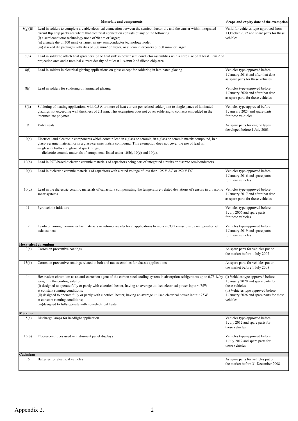|          | <b>Materials and components</b>                                                                                                                                                                                                                                                                                                                                                                                                                                                                                                                                        | Scope and expiry date of the exemption                                                                                                                                                  |
|----------|------------------------------------------------------------------------------------------------------------------------------------------------------------------------------------------------------------------------------------------------------------------------------------------------------------------------------------------------------------------------------------------------------------------------------------------------------------------------------------------------------------------------------------------------------------------------|-----------------------------------------------------------------------------------------------------------------------------------------------------------------------------------------|
| 8(g)(ii) | Lead in solders to complete a viable electrical connection between the semiconductor die and the carrier within integrated<br>circuit flip chip packages where that electrical connection consists of any of the following:<br>(i) a semiconductor technology node of 90 nm or larger;<br>(ii) a single die of 300 mm2 or larger in any semiconductor technology node;<br>(iii) stacked die packages with dies of 300 mm2 or larger, or silicon interposers of 300 mm2 or larger.                                                                                      | Valid for vehicles type-approved from<br>1 October 2022 and spare parts for these<br>vehicles                                                                                           |
| 8(h)     | Lead in solder to attach heat spreaders to the heat sink in power semiconductor assemblies with a chip size of at least 1 cm 2 of<br>projection area and a nominal current density of at least 1 A/mm 2 of silicon chip area                                                                                                                                                                                                                                                                                                                                           |                                                                                                                                                                                         |
| 8(i)     | Lead in solders in electrical glazing applications on glass except for soldering in laminated glazing                                                                                                                                                                                                                                                                                                                                                                                                                                                                  | Vehicles type-approved before<br>1 January 2016 and after that date<br>as spare parts for these vehicles                                                                                |
| 8(i)     | Lead in solders for soldering of laminated glazing                                                                                                                                                                                                                                                                                                                                                                                                                                                                                                                     | Vehicles type-approved before<br>1 January 2020 and after that date<br>as spare parts for these vehicles                                                                                |
| 8(k)     | Soldering of heating applications with 0,5 A or more of heat current per related solder joint to single panes of laminated<br>glazings not exceeding wall thickness of 2,1 mm. This exemption does not cover soldering to contacts embedded in the<br>intermediate polymer                                                                                                                                                                                                                                                                                             | Vehicles type approved before<br>1 Janu ary 2024 and spare parts<br>for these ve-hicles                                                                                                 |
| 9        | Valve seats                                                                                                                                                                                                                                                                                                                                                                                                                                                                                                                                                            | As spare parts for engine types<br>developed before 1 July 2003                                                                                                                         |
| 10(a)    | Electrical and electronic components which contain lead in a glass or ceramic, in a glass or ceramic matrix compound, in a<br>glass-ceramic material, or in a glass-ceramic matrix compound. This exemption does not cover the use of lead in:<br>- glass in bulbs and glaze of spark plugs,<br>dielectric ceramic materials of components listed under 10(b), 10(c) and 10(d).                                                                                                                                                                                        |                                                                                                                                                                                         |
| 10(b)    | Lead in PZT-based dielectric ceramic materials of capacitors being part of integrated circuits or discrete semiconductors                                                                                                                                                                                                                                                                                                                                                                                                                                              |                                                                                                                                                                                         |
| 10(c)    | Lead in dielectric ceramic materials of capacitors with a rated voltage of less than 125 V AC or 250 V DC                                                                                                                                                                                                                                                                                                                                                                                                                                                              | Vehicles type-approved before<br>1 January 2016 and spare parts<br>for these vehicles                                                                                                   |
| 10(d)    | Lead in the dielectric ceramic materials of capacitors compensating the temperature- related deviations of sensors in ultrasonic<br>sonar systems                                                                                                                                                                                                                                                                                                                                                                                                                      | Vehicles type-approved before<br>1 January 2017 and after that date<br>as spare parts for these vehicles                                                                                |
| 11       | Pyrotechnic initiators                                                                                                                                                                                                                                                                                                                                                                                                                                                                                                                                                 | Vehicles type-approved before<br>1 July 2006 and spare parts<br>for these vehicles                                                                                                      |
| 12       | Lead-containing thermoelectric materials in automotive electrical applications to reduce CO 2 emissions by recuperation of<br>exhaust heat                                                                                                                                                                                                                                                                                                                                                                                                                             | Vehicles type-approved before<br>1 January 2019 and spare parts<br>for these vehicles                                                                                                   |
|          | <b>Hexavalent chromium</b>                                                                                                                                                                                                                                                                                                                                                                                                                                                                                                                                             |                                                                                                                                                                                         |
| 13(a)    | Corrosion preventive coatings                                                                                                                                                                                                                                                                                                                                                                                                                                                                                                                                          | As spare parts for vehicles put on<br>the market before 1 July 2007                                                                                                                     |
| 13(b)    | Corrosion preventive coatings related to bolt and nut assemblies for chassis applications                                                                                                                                                                                                                                                                                                                                                                                                                                                                              | As spare parts for vehicles put on<br>the market before 1 July 2008                                                                                                                     |
| 14       | Hexavalent chromium as an anti-corrosion agent of the carbon steel cooling system in absorption refrigerators up to 0,75 % by<br>weight in the cooling solution:<br>(i) designed to operate fully or partly with electrical heater, having an average utilised electrical power input $\leq 75W$<br>at constant running conditions;<br>(ii) designed to operate fully or partly with electrical heater, having an average utilised electrical power input $\geq$ 75W<br>at constant running conditions;<br>(iii) designed to fully operate with non-electrical heater. | (i) Vehicles type approved before<br>1 January 2020 and spare parts for<br>these vehicles<br>(ii) Vehicles type approved before<br>1 January 2026 and spare parts for these<br>vehicles |
| Mercury  |                                                                                                                                                                                                                                                                                                                                                                                                                                                                                                                                                                        |                                                                                                                                                                                         |
| 15(a)    | Discharge lamps for headlight application                                                                                                                                                                                                                                                                                                                                                                                                                                                                                                                              | Vehicles type-approved before<br>1 July 2012 and spare parts for<br>these vehicles                                                                                                      |
| 15(b)    | Fluorescent tubes used in instrument panel displays                                                                                                                                                                                                                                                                                                                                                                                                                                                                                                                    | Vehicles type-approved before<br>1 July 2012 and spare parts for<br>these vehicles                                                                                                      |
| Cadmium  |                                                                                                                                                                                                                                                                                                                                                                                                                                                                                                                                                                        |                                                                                                                                                                                         |
| 16       | Batteries for electrical vehicles                                                                                                                                                                                                                                                                                                                                                                                                                                                                                                                                      | As spare parts for vehicles put on<br>the market before 31 December 2008                                                                                                                |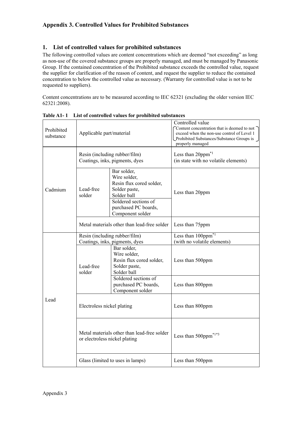# <span id="page-38-0"></span>**1. List of controlled values for prohibited substances**

The following controlled values are content concentrations which are deemed "not exceeding" as long as non-use of the covered substance groups are properly managed, and must be managed by Panasonic Group. If the contained concentration of the Prohibited substance exceeds the controlled value, request the supplier for clarification of the reason of content, and request the supplier to reduce the contained concentration to below the controlled value as necessary. (Warranty for controlled value is not to be requested to suppliers).

Content concentrations are to be measured according to IEC 62321 (excluding the older version IEC 62321:2008).

| Prohibited<br>substance | Applicable part/material                                        |                                                                                         | Controlled value<br>Content concentration that is deemed to not $\bigcap$<br>exceed when the non-use control of Level 1<br>Prohibited Substances/Substance Groups is J<br>properly managed |
|-------------------------|-----------------------------------------------------------------|-----------------------------------------------------------------------------------------|--------------------------------------------------------------------------------------------------------------------------------------------------------------------------------------------|
|                         |                                                                 | Resin (including rubber/film)<br>Coatings, inks, pigments, dyes                         | Less than 20ppm <sup>*1</sup><br>(in state with no volatile elements)                                                                                                                      |
| Cadmium                 | Lead-free<br>solder                                             | Bar solder,<br>Wire solder,<br>Resin flux cored solder,<br>Solder paste,<br>Solder ball | Less than 20ppm                                                                                                                                                                            |
|                         |                                                                 | Soldered sections of<br>purchased PC boards,<br>Component solder                        |                                                                                                                                                                                            |
|                         |                                                                 | Metal materials other than lead-free solder                                             | Less than 75ppm                                                                                                                                                                            |
|                         | Resin (including rubber/film)<br>Coatings, inks, pigments, dyes |                                                                                         | Less than 100ppm <sup>*1</sup><br>(with no volatile elements)                                                                                                                              |
|                         | Lead-free<br>solder                                             | Bar solder,<br>Wire solder,<br>Resin flux cored solder,<br>Solder paste,<br>Solder ball | Less than 500ppm                                                                                                                                                                           |
|                         |                                                                 | Soldered sections of<br>purchased PC boards,<br>Component solder                        | Less than 800ppm                                                                                                                                                                           |
| Lead                    | Electroless nickel plating                                      |                                                                                         | Less than 800ppm                                                                                                                                                                           |
|                         | or electroless nickel plating                                   | Metal materials other than lead-free solder                                             | Less than $500$ ppm <sup>*1*3</sup>                                                                                                                                                        |
|                         |                                                                 | Glass (limited to uses in lamps)                                                        | Less than 500ppm                                                                                                                                                                           |

**Table A1- 1 List of controlled values for prohibited substances**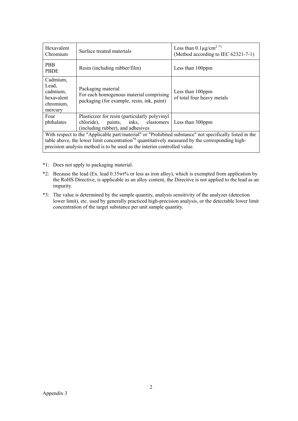| Hexavalent<br>Chromium                                                                                                                                                                                                                                                                             | Surface treated materials                                                                                   | Less than $0.1 \mu g/cm^2$ *1<br>(Method according to IEC 62321-7-1) |
|----------------------------------------------------------------------------------------------------------------------------------------------------------------------------------------------------------------------------------------------------------------------------------------------------|-------------------------------------------------------------------------------------------------------------|----------------------------------------------------------------------|
| <b>PBB</b><br><b>PBDE</b>                                                                                                                                                                                                                                                                          | Resin (including rubber/film)                                                                               | Less than 100ppm                                                     |
| Cadmium,<br>Lead,<br>cadmium,<br>hexavalent<br>chromium,<br>mercury                                                                                                                                                                                                                                | Packaging material<br>For each homogenous material comprising<br>packaging (for example, resin, ink, paint) | Less than 100ppm<br>of total four heavy metals                       |
| Plasticizer for resin (particularly polyvinyl<br>Four<br>chloride), paints, inks, elastomers<br>phthalates<br>Less than 300ppm<br>(including rubber), and adhesives                                                                                                                                |                                                                                                             |                                                                      |
| With respect to the "Applicable part/material" or "Prohibited substance" not specifically listed in the<br>table above, the lower limit concentration <sup>*6</sup> quantitatively measured by the corresponding high-<br>precision analysis method is to be used as the interim controlled value. |                                                                                                             |                                                                      |

- \*1: Does not apply to packaging material.
- \*2: Because the lead (Ex. lead 0.35wt% or less as iron alloy), which is exempted from application by the RoHS Directive, is applicable as an alloy content, the Directive is not applied to the lead as an impurity.
- \*3: The value is determined by the sample quantity, analysis sensitivity of the analyzer (detection lower limit), etc. used by generally practiced high-precision analysis, or the detectable lower limit concentration of the target substance per unit sample quantity.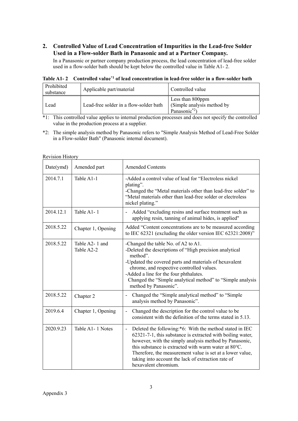# **2. Controlled Value of Lead Concentration of Impurities in the Lead-free Solder Used in a Flow-solder Bath in Panasonic and at a Partner Company.**

In a Panasonic or partner company production process, the lead concentration of lead-free solder used in a flow-solder bath should be kept below the controlled value in [Table A1-](#page-40-0) 2.

| Prohibited<br>substance | Applicable part/material               | Controlled value                                                            |
|-------------------------|----------------------------------------|-----------------------------------------------------------------------------|
| Lead                    | Lead-free solder in a flow-solder bath | Less than 800ppm<br>(Simple analysis method by<br>Panasonic <sup>*2</sup> ) |

<span id="page-40-0"></span>**Table A1- 2 Controlled value\*1 of lead concentration in lead-free solder in a flow-solder bath**

\*1: This controlled value applies to internal production processes and does not specify the controlled value in the production process at a supplier.

\*2: The simple analysis method by Panasonic refers to "Simple Analysis Method of Lead-Free Solder in a Flow-solder Bath" (Panasonic internal document).

| Date(ymd) | Amended part                 | <b>Amended Contents</b>                                                                                                                                                                                                                                                                                                                                                            |
|-----------|------------------------------|------------------------------------------------------------------------------------------------------------------------------------------------------------------------------------------------------------------------------------------------------------------------------------------------------------------------------------------------------------------------------------|
| 2014.7.1  | Table A1-1                   | -Added a control value of lead for "Electroless nickel<br>plating".<br>-Changed the "Metal materials other than lead-free solder" to<br>"Metal materials other than lead-free solder or electroless<br>nickel plating."                                                                                                                                                            |
| 2014.12.1 | Table A1-1                   | Added "excluding resins and surface treatment such as<br>applying resin, tanning of animal hides, is applied"                                                                                                                                                                                                                                                                      |
| 2018.5.22 | Chapter 1, Opening           | Added "Content concentrations are to be measured according<br>to IEC 62321 (excluding the older version IEC 62321:2008)"                                                                                                                                                                                                                                                           |
| 2018.5.22 | Table A2-1 and<br>Table A2-2 | -Changed the table No. of A2 to A1.<br>-Deleted the descriptions of "High precision analytical<br>method".<br>-Updated the covered parts and materials of hexavalent<br>chrome, and respective controlled values.<br>-Added a line for the four phthalates.<br>Changed the "Simple analytical method" to "Simple analysis<br>method by Panasonic".                                 |
| 2018.5.22 | Chapter 2                    | Changed the "Simple analytical method" to "Simple<br>analysis method by Panasonic".                                                                                                                                                                                                                                                                                                |
| 2019.6.4  | Chapter 1, Opening           | Changed the description for the control value to be<br>$\overline{\phantom{0}}$<br>consistent with the definition of the terms stated in 5.13.                                                                                                                                                                                                                                     |
| 2020.9.23 | Table A1-1 Notes             | Deleted the following:*6: With the method stated in IEC<br>62321-7-1, this substance is extracted with boiling water,<br>however, with the simply analysis method by Panasonic,<br>this substance is extracted with warm water at 80°C.<br>Therefore, the measurement value is set at a lower value,<br>taking into account the lack of extraction rate of<br>hexavalent chromium. |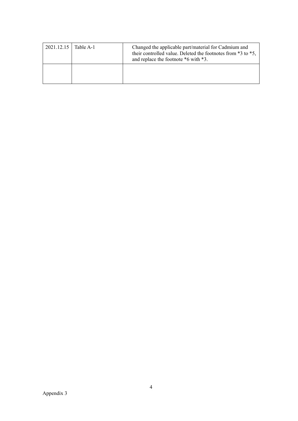| 2021.12.15   Table A-1 | Changed the applicable part/material for Cadmium and<br>their controlled value. Deleted the footnotes from *3 to *5,<br>and replace the footnote *6 with *3. |
|------------------------|--------------------------------------------------------------------------------------------------------------------------------------------------------------|
|                        |                                                                                                                                                              |